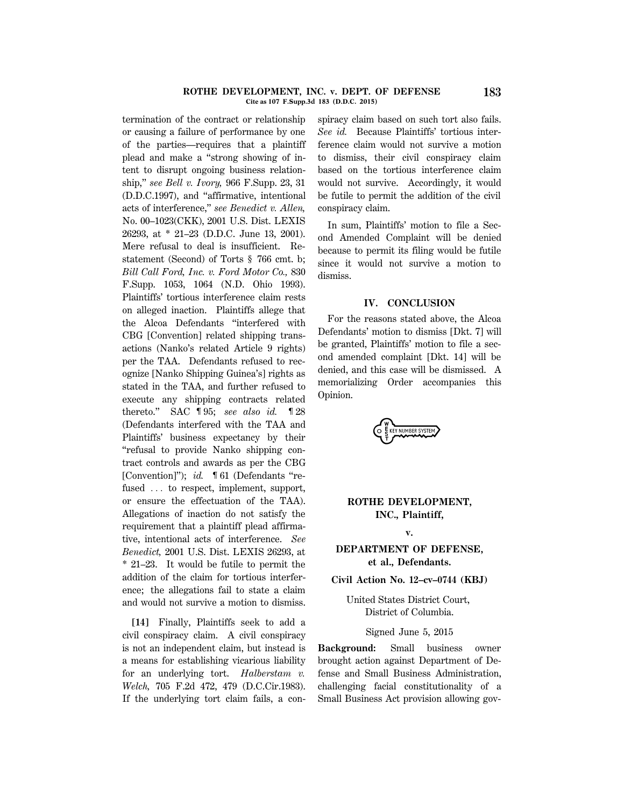#### **ROTHE DEVELOPMENT, INC. v. DEPT. OF DEFENSE 183 Cite as 107 F.Supp.3d 183 (D.D.C. 2015)**

termination of the contract or relationship or causing a failure of performance by one of the parties—requires that a plaintiff plead and make a ''strong showing of intent to disrupt ongoing business relationship,'' *see Bell v. Ivory,* 966 F.Supp. 23, 31 (D.D.C.1997), and ''affirmative, intentional acts of interference,'' *see Benedict v. Allen,* No. 00–1023(CKK), 2001 U.S. Dist. LEXIS 26293, at \* 21–23 (D.D.C. June 13, 2001). Mere refusal to deal is insufficient. Restatement (Second) of Torts § 766 cmt. b; *Bill Call Ford, Inc. v. Ford Motor Co.,* 830 F.Supp. 1053, 1064 (N.D. Ohio 1993). Plaintiffs' tortious interference claim rests on alleged inaction. Plaintiffs allege that the Alcoa Defendants ''interfered with CBG [Convention] related shipping transactions (Nanko's related Article 9 rights) per the TAA. Defendants refused to recognize [Nanko Shipping Guinea's] rights as stated in the TAA, and further refused to execute any shipping contracts related thereto.'' SAC ¶ 95; *see also id.* ¶ 28 (Defendants interfered with the TAA and Plaintiffs' business expectancy by their ''refusal to provide Nanko shipping contract controls and awards as per the CBG [Convention]"); *id.* **161** (Defendants "refused  $\ldots$  to respect, implement, support, or ensure the effectuation of the TAA). Allegations of inaction do not satisfy the requirement that a plaintiff plead affirmative, intentional acts of interference. *See Benedict,* 2001 U.S. Dist. LEXIS 26293, at \* 21–23. It would be futile to permit the addition of the claim for tortious interference; the allegations fail to state a claim and would not survive a motion to dismiss.

**[14]** Finally, Plaintiffs seek to add a civil conspiracy claim. A civil conspiracy is not an independent claim, but instead is a means for establishing vicarious liability for an underlying tort. *Halberstam v. Welch,* 705 F.2d 472, 479 (D.C.Cir.1983). If the underlying tort claim fails, a conspiracy claim based on such tort also fails. *See id.* Because Plaintiffs' tortious interference claim would not survive a motion to dismiss, their civil conspiracy claim based on the tortious interference claim would not survive. Accordingly, it would be futile to permit the addition of the civil conspiracy claim.

In sum, Plaintiffs' motion to file a Second Amended Complaint will be denied because to permit its filing would be futile since it would not survive a motion to dismiss.

#### **IV. CONCLUSION**

For the reasons stated above, the Alcoa Defendants' motion to dismiss [Dkt. 7] will be granted, Plaintiffs' motion to file a second amended complaint [Dkt. 14] will be denied, and this case will be dismissed. A memorializing Order accompanies this Opinion.

EY NUMBER SYSTE

# **ROTHE DEVELOPMENT, INC., Plaintiff,**

#### **v.**

# **DEPARTMENT OF DEFENSE, et al., Defendants.**

#### **Civil Action No. 12–cv–0744 (KBJ)**

United States District Court, District of Columbia.

#### Signed June 5, 2015

**Background:** Small business owner brought action against Department of Defense and Small Business Administration, challenging facial constitutionality of a Small Business Act provision allowing gov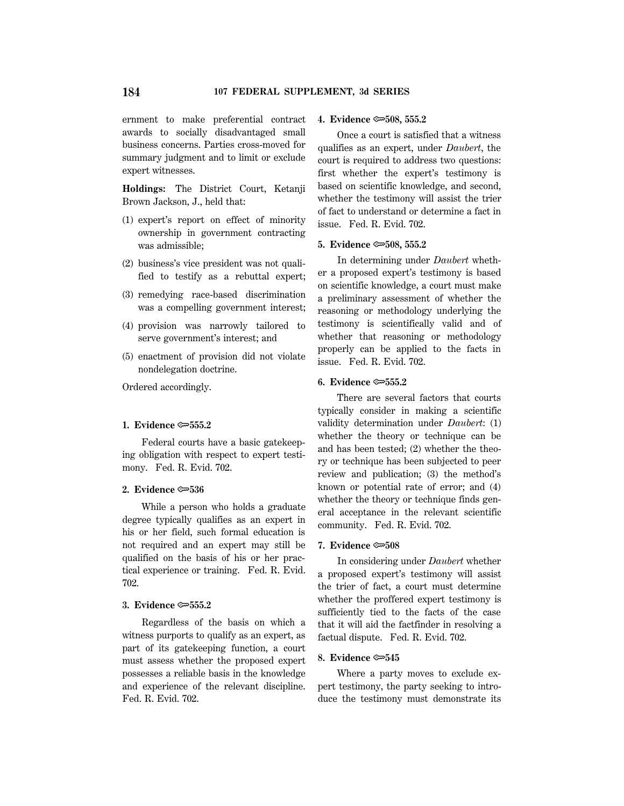ernment to make preferential contract awards to socially disadvantaged small business concerns. Parties cross-moved for summary judgment and to limit or exclude expert witnesses.

**Holdings:** The District Court, Ketanji Brown Jackson, J., held that:

- (1) expert's report on effect of minority ownership in government contracting was admissible;
- (2) business's vice president was not qualified to testify as a rebuttal expert;
- (3) remedying race-based discrimination was a compelling government interest;
- (4) provision was narrowly tailored to serve government's interest; and
- (5) enactment of provision did not violate nondelegation doctrine.

Ordered accordingly.

### **1. Evidence** O**555.2**

Federal courts have a basic gatekeeping obligation with respect to expert testimony. Fed. R. Evid. 702.

### **2. Evidence** O**536**

While a person who holds a graduate degree typically qualifies as an expert in his or her field, such formal education is not required and an expert may still be qualified on the basis of his or her practical experience or training. Fed. R. Evid. 702.

# **3. Evidence** O**555.2**

Regardless of the basis on which a witness purports to qualify as an expert, as part of its gatekeeping function, a court must assess whether the proposed expert possesses a reliable basis in the knowledge and experience of the relevant discipline. Fed. R. Evid. 702.

### **4. Evidence <del>○</del>508, 555.2**

Once a court is satisfied that a witness qualifies as an expert, under *Daubert*, the court is required to address two questions: first whether the expert's testimony is based on scientific knowledge, and second, whether the testimony will assist the trier of fact to understand or determine a fact in issue. Fed. R. Evid. 702.

### **5. Evidence**  $\infty$ **508, 555.2**

In determining under *Daubert* whether a proposed expert's testimony is based on scientific knowledge, a court must make a preliminary assessment of whether the reasoning or methodology underlying the testimony is scientifically valid and of whether that reasoning or methodology properly can be applied to the facts in issue. Fed. R. Evid. 702.

### **6. Evidence** O**555.2**

There are several factors that courts typically consider in making a scientific validity determination under *Daubert*: (1) whether the theory or technique can be and has been tested; (2) whether the theory or technique has been subjected to peer review and publication; (3) the method's known or potential rate of error; and (4) whether the theory or technique finds general acceptance in the relevant scientific community. Fed. R. Evid. 702.

#### **7. Evidence**  $\approx 508$

In considering under *Daubert* whether a proposed expert's testimony will assist the trier of fact, a court must determine whether the proffered expert testimony is sufficiently tied to the facts of the case that it will aid the factfinder in resolving a factual dispute. Fed. R. Evid. 702.

#### **8. Evidence** O**545**

Where a party moves to exclude expert testimony, the party seeking to introduce the testimony must demonstrate its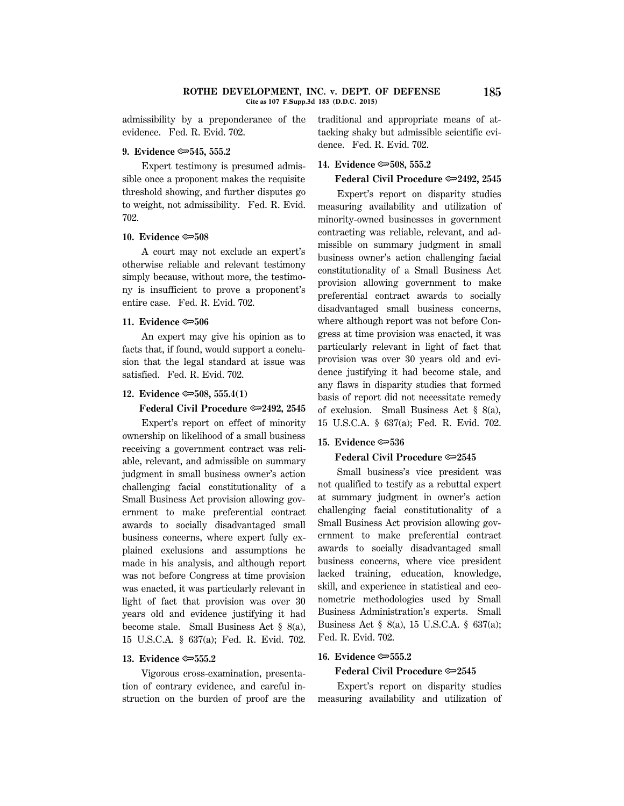admissibility by a preponderance of the traditional and appropriate means of atevidence. Fed. R. Evid. 702.

# **9. Evidence** O**545, 555.2**

Expert testimony is presumed admissible once a proponent makes the requisite threshold showing, and further disputes go to weight, not admissibility. Fed. R. Evid. 702.

### **10. Evidence**  $\infty$ **508**

A court may not exclude an expert's otherwise reliable and relevant testimony simply because, without more, the testimony is insufficient to prove a proponent's entire case. Fed. R. Evid. 702.

#### **11. Evidence ∞506**

An expert may give his opinion as to facts that, if found, would support a conclusion that the legal standard at issue was satisfied. Fed. R. Evid. 702.

#### **12. Evidence**  $\infty$ **508, 555.4(1)**

**Federal Civil Procedure**  $\infty$ **2492, 2545** 

Expert's report on effect of minority ownership on likelihood of a small business receiving a government contract was reliable, relevant, and admissible on summary judgment in small business owner's action challenging facial constitutionality of a Small Business Act provision allowing government to make preferential contract awards to socially disadvantaged small business concerns, where expert fully explained exclusions and assumptions he made in his analysis, and although report was not before Congress at time provision was enacted, it was particularly relevant in light of fact that provision was over 30 years old and evidence justifying it had become stale. Small Business Act § 8(a), 15 U.S.C.A. § 637(a); Fed. R. Evid. 702.

### **13. Evidence**  $\infty$ **555.2**

Vigorous cross-examination, presentation of contrary evidence, and careful instruction on the burden of proof are the tacking shaky but admissible scientific evidence. Fed. R. Evid. 702.

#### **14. Evidence**  $\approx 508$ **, 555.2**

### **Federal Civil Procedure**  $\infty$ **2492, 2545**

Expert's report on disparity studies measuring availability and utilization of minority-owned businesses in government contracting was reliable, relevant, and admissible on summary judgment in small business owner's action challenging facial constitutionality of a Small Business Act provision allowing government to make preferential contract awards to socially disadvantaged small business concerns, where although report was not before Congress at time provision was enacted, it was particularly relevant in light of fact that provision was over 30 years old and evidence justifying it had become stale, and any flaws in disparity studies that formed basis of report did not necessitate remedy of exclusion. Small Business Act § 8(a), 15 U.S.C.A. § 637(a); Fed. R. Evid. 702.

### **15. Evidence** O**536**

### **Federal Civil Procedure**  $\infty$ 2545

Small business's vice president was not qualified to testify as a rebuttal expert at summary judgment in owner's action challenging facial constitutionality of a Small Business Act provision allowing government to make preferential contract awards to socially disadvantaged small business concerns, where vice president lacked training, education, knowledge, skill, and experience in statistical and econometric methodologies used by Small Business Administration's experts. Small Business Act § 8(a), 15 U.S.C.A. § 637(a); Fed. R. Evid. 702.

### **16. Evidence**  $\approx 555.2$

# **Federal Civil Procedure**  $\approx 2545$

Expert's report on disparity studies measuring availability and utilization of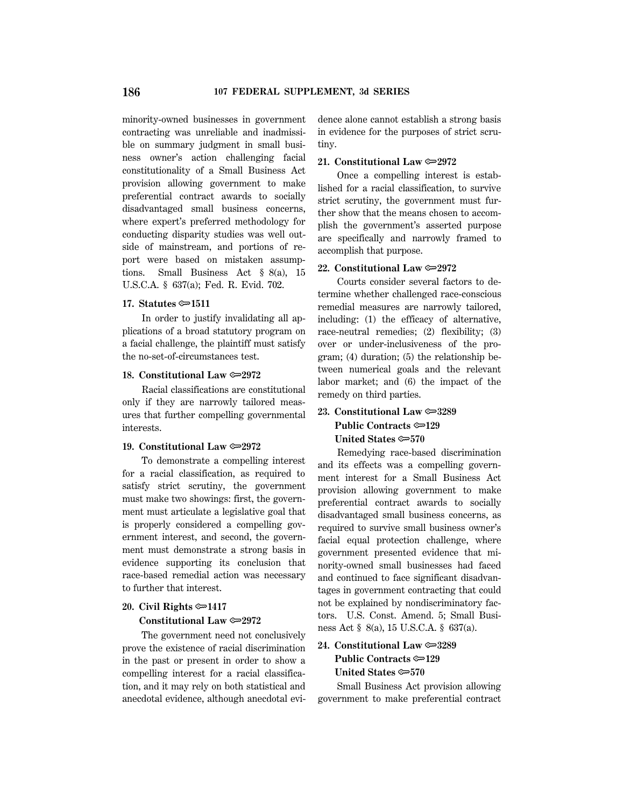minority-owned businesses in government contracting was unreliable and inadmissible on summary judgment in small business owner's action challenging facial constitutionality of a Small Business Act provision allowing government to make preferential contract awards to socially disadvantaged small business concerns, where expert's preferred methodology for conducting disparity studies was well outside of mainstream, and portions of report were based on mistaken assumptions. Small Business Act § 8(a), 15 U.S.C.A. § 637(a); Fed. R. Evid. 702.

### **17. Statutes** O**1511**

In order to justify invalidating all applications of a broad statutory program on a facial challenge, the plaintiff must satisfy the no-set-of-circumstances test.

# **18. Constitutional Law**  $\approx 2972$

Racial classifications are constitutional only if they are narrowly tailored measures that further compelling governmental interests.

### **19. Constitutional Law**  $\approx 2972$

To demonstrate a compelling interest for a racial classification, as required to satisfy strict scrutiny, the government must make two showings: first, the government must articulate a legislative goal that is properly considered a compelling government interest, and second, the government must demonstrate a strong basis in evidence supporting its conclusion that race-based remedial action was necessary to further that interest.

### **20. Civil Rights** O**1417**

### **Constitutional Law**  $\approx 2972$

The government need not conclusively prove the existence of racial discrimination in the past or present in order to show a compelling interest for a racial classification, and it may rely on both statistical and anecdotal evidence, although anecdotal evidence alone cannot establish a strong basis in evidence for the purposes of strict scrutiny.

# **21. Constitutional Law**  $\approx 2972$

Once a compelling interest is established for a racial classification, to survive strict scrutiny, the government must further show that the means chosen to accomplish the government's asserted purpose are specifically and narrowly framed to accomplish that purpose.

### **22. Constitutional Law**  $\approx 2972$

Courts consider several factors to determine whether challenged race-conscious remedial measures are narrowly tailored, including: (1) the efficacy of alternative, race-neutral remedies; (2) flexibility; (3) over or under-inclusiveness of the program; (4) duration; (5) the relationship between numerical goals and the relevant labor market; and (6) the impact of the remedy on third parties.

# **23. Constitutional Law** O**3289 Public Contracts**  $\approx 129$  **United States** O**570**

Remedying race-based discrimination and its effects was a compelling government interest for a Small Business Act provision allowing government to make preferential contract awards to socially disadvantaged small business concerns, as required to survive small business owner's facial equal protection challenge, where government presented evidence that minority-owned small businesses had faced and continued to face significant disadvantages in government contracting that could not be explained by nondiscriminatory factors. U.S. Const. Amend. 5; Small Business Act § 8(a), 15 U.S.C.A. § 637(a).

# **24. Constitutional Law**  $\approx 3289$ **Public Contracts**  $\approx 129$  **United States** O**570**

Small Business Act provision allowing government to make preferential contract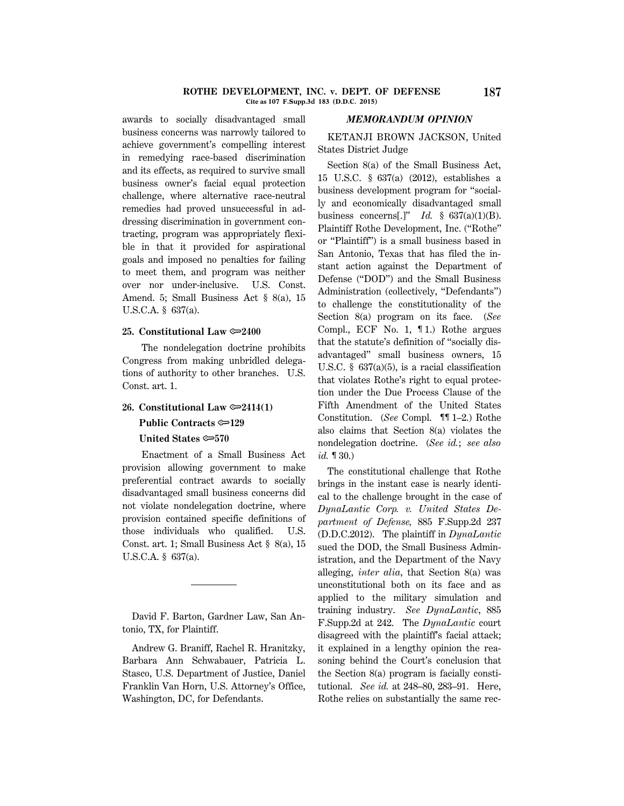#### **ROTHE DEVELOPMENT, INC. v. DEPT. OF DEFENSE 187 Cite as 107 F.Supp.3d 183 (D.D.C. 2015)**

awards to socially disadvantaged small business concerns was narrowly tailored to achieve government's compelling interest in remedying race-based discrimination and its effects, as required to survive small business owner's facial equal protection challenge, where alternative race-neutral remedies had proved unsuccessful in addressing discrimination in government contracting, program was appropriately flexible in that it provided for aspirational goals and imposed no penalties for failing to meet them, and program was neither over nor under-inclusive. U.S. Const. Amend. 5; Small Business Act § 8(a), 15 U.S.C.A. § 637(a).

#### **25. Constitutional Law**  $\approx 2400$

The nondelegation doctrine prohibits Congress from making unbridled delegations of authority to other branches. U.S. Const. art. 1.

#### **26. Constitutional Law** O**2414(1)**

#### **Public Contracts**  $\approx 129$

### **United States ©**570

Enactment of a Small Business Act provision allowing government to make preferential contract awards to socially disadvantaged small business concerns did not violate nondelegation doctrine, where provision contained specific definitions of those individuals who qualified. U.S. Const. art. 1; Small Business Act § 8(a), 15 U.S.C.A. § 637(a).

David F. Barton, Gardner Law, San Antonio, TX, for Plaintiff.

Andrew G. Braniff, Rachel R. Hranitzky, Barbara Ann Schwabauer, Patricia L. Stasco, U.S. Department of Justice, Daniel Franklin Van Horn, U.S. Attorney's Office, Washington, DC, for Defendants.

# *MEMORANDUM OPINION*

# KETANJI BROWN JACKSON, United States District Judge

Section 8(a) of the Small Business Act, 15 U.S.C. § 637(a) (2012), establishes a business development program for ''socially and economically disadvantaged small business concerns[.]"  $Id. \S$  637(a)(1)(B). Plaintiff Rothe Development, Inc. (''Rothe'' or ''Plaintiff'') is a small business based in San Antonio, Texas that has filed the instant action against the Department of Defense (''DOD'') and the Small Business Administration (collectively, ''Defendants'') to challenge the constitutionality of the Section 8(a) program on its face. (*See* Compl., ECF No. 1, ¶ 1.) Rothe argues that the statute's definition of ''socially disadvantaged'' small business owners, 15 U.S.C. § 637(a)(5), is a racial classification that violates Rothe's right to equal protection under the Due Process Clause of the Fifth Amendment of the United States Constitution. (*See* Compl. ¶¶ 1–2.) Rothe also claims that Section 8(a) violates the nondelegation doctrine. (*See id.*; *see also id.* ¶ 30.)

The constitutional challenge that Rothe brings in the instant case is nearly identical to the challenge brought in the case of *DynaLantic Corp. v. United States Department of Defense,* 885 F.Supp.2d 237 (D.D.C.2012). The plaintiff in *DynaLantic* sued the DOD, the Small Business Administration, and the Department of the Navy alleging, *inter alia*, that Section 8(a) was unconstitutional both on its face and as applied to the military simulation and training industry. *See DynaLantic*, 885 F.Supp.2d at 242. The *DynaLantic* court disagreed with the plaintiff's facial attack; it explained in a lengthy opinion the reasoning behind the Court's conclusion that the Section 8(a) program is facially constitutional. *See id.* at 248–80, 283–91. Here, Rothe relies on substantially the same rec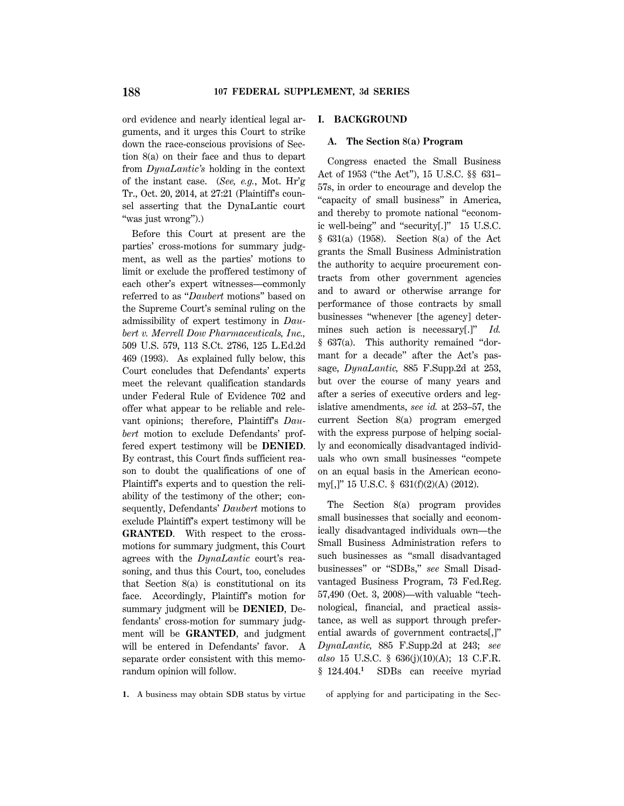ord evidence and nearly identical legal arguments, and it urges this Court to strike down the race-conscious provisions of Section 8(a) on their face and thus to depart from *DynaLantic's* holding in the context of the instant case. (*See, e.g.*, Mot. Hr'g Tr., Oct. 20, 2014, at 27:21 (Plaintiff's counsel asserting that the DynaLantic court "was just wrong").)

Before this Court at present are the parties' cross-motions for summary judgment, as well as the parties' motions to limit or exclude the proffered testimony of each other's expert witnesses—commonly referred to as ''*Daubert* motions'' based on the Supreme Court's seminal ruling on the admissibility of expert testimony in *Daubert v. Merrell Dow Pharmaceuticals, Inc.,* 509 U.S. 579, 113 S.Ct. 2786, 125 L.Ed.2d 469 (1993). As explained fully below, this Court concludes that Defendants' experts meet the relevant qualification standards under Federal Rule of Evidence 702 and offer what appear to be reliable and relevant opinions; therefore, Plaintiff's *Daubert* motion to exclude Defendants' proffered expert testimony will be **DENIED**. By contrast, this Court finds sufficient reason to doubt the qualifications of one of Plaintiff's experts and to question the reliability of the testimony of the other; consequently, Defendants' *Daubert* motions to exclude Plaintiff's expert testimony will be **GRANTED**. With respect to the crossmotions for summary judgment, this Court agrees with the *DynaLantic* court's reasoning, and thus this Court, too, concludes that Section 8(a) is constitutional on its face. Accordingly, Plaintiff's motion for summary judgment will be **DENIED**, Defendants' cross-motion for summary judgment will be **GRANTED**, and judgment will be entered in Defendants' favor. A separate order consistent with this memorandum opinion will follow.

### **I. BACKGROUND**

### **A. The Section 8(a) Program**

Congress enacted the Small Business Act of 1953 (''the Act''), 15 U.S.C. §§ 631– 57s, in order to encourage and develop the "capacity of small business" in America, and thereby to promote national ''economic well-being'' and ''security[.]'' 15 U.S.C. § 631(a) (1958). Section 8(a) of the Act grants the Small Business Administration the authority to acquire procurement contracts from other government agencies and to award or otherwise arrange for performance of those contracts by small businesses ''whenever [the agency] determines such action is necessary[.]'' *Id.* § 637(a). This authority remained ''dormant for a decade'' after the Act's passage, *DynaLantic,* 885 F.Supp.2d at 253, but over the course of many years and after a series of executive orders and legislative amendments, *see id.* at 253–57, the current Section 8(a) program emerged with the express purpose of helping socially and economically disadvantaged individuals who own small businesses ''compete on an equal basis in the American economy[,]'' 15 U.S.C. § 631(f)(2)(A) (2012).

The Section 8(a) program provides small businesses that socially and economically disadvantaged individuals own—the Small Business Administration refers to such businesses as ''small disadvantaged businesses'' or ''SDBs,'' *see* Small Disadvantaged Business Program, 73 Fed.Reg. 57,490 (Oct. 3, 2008)—with valuable ''technological, financial, and practical assistance, as well as support through preferential awards of government contracts[,]'' *DynaLantic,* 885 F.Supp.2d at 243; *see also* 15 U.S.C. § 636(j)(10)(A); 13 C.F.R. § 124.404.<sup>1</sup> SDBs can receive myriad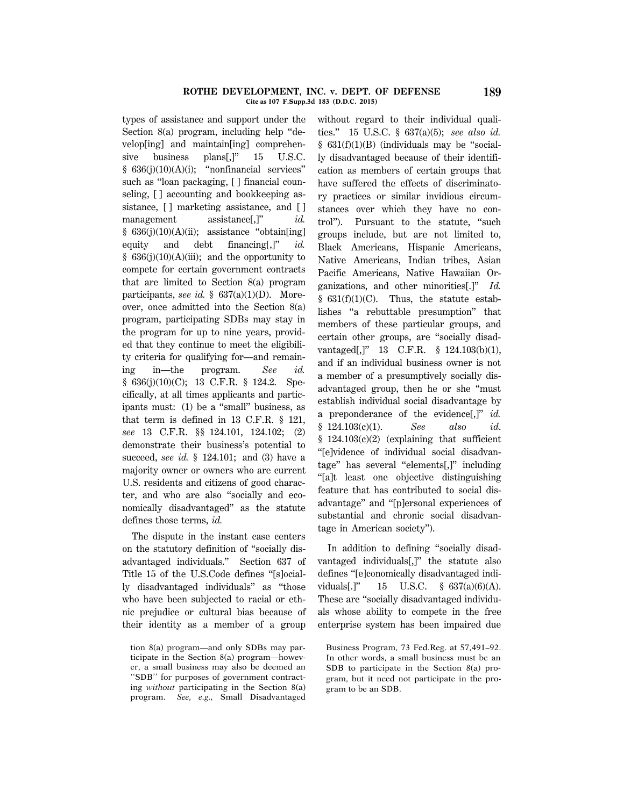#### **ROTHE DEVELOPMENT, INC. v. DEPT. OF DEFENSE 189 Cite as 107 F.Supp.3d 183 (D.D.C. 2015)**

types of assistance and support under the Section 8(a) program, including help "develop[ing] and maintain[ing] comprehensive business plans[,]" 15 U.S.C. § 636(j)(10)(A)(i); ''nonfinancial services'' such as ''loan packaging, [ ] financial counseling, [ ] accounting and bookkeeping assistance, [ ] marketing assistance, and [ ] management assistance[,]'' *id.*  $§$  636(j)(10)(A)(ii); assistance "obtain[ing] equity and debt financing[,]'' *id.*  $§ 636(j)(10)(A)(iii);$  and the opportunity to compete for certain government contracts that are limited to Section 8(a) program participants, *see id.*  $\frac{637(a)(1)(D)}{D}$ . Moreover, once admitted into the Section 8(a) program, participating SDBs may stay in the program for up to nine years, provided that they continue to meet the eligibility criteria for qualifying for—and remaining in—the program. *See id.* § 636(j)(10)(C); 13 C.F.R. § 124.2. Specifically, at all times applicants and participants must: (1) be a ''small'' business, as that term is defined in 13 C.F.R. § 121, *see* 13 C.F.R. §§ 124.101, 124.102; (2) demonstrate their business's potential to succeed, *see id.* § 124.101; and (3) have a majority owner or owners who are current U.S. residents and citizens of good character, and who are also ''socially and economically disadvantaged'' as the statute defines those terms, *id.*

The dispute in the instant case centers on the statutory definition of ''socially disadvantaged individuals.'' Section 637 of Title 15 of the U.S.Code defines ''[s]ocially disadvantaged individuals'' as ''those who have been subjected to racial or ethnic prejudice or cultural bias because of their identity as a member of a group

without regard to their individual qualities.'' 15 U.S.C. § 637(a)(5); *see also id.*  $§$  631(f)(1)(B) (individuals may be "socially disadvantaged because of their identification as members of certain groups that have suffered the effects of discriminatory practices or similar invidious circumstances over which they have no control''). Pursuant to the statute, ''such groups include, but are not limited to, Black Americans, Hispanic Americans, Native Americans, Indian tribes, Asian Pacific Americans, Native Hawaiian Organizations, and other minorities[.]'' *Id.*  $§$  631(f)(1)(C). Thus, the statute establishes ''a rebuttable presumption'' that members of these particular groups, and certain other groups, are ''socially disadvantaged[,]'' 13 C.F.R. § 124.103(b)(1), and if an individual business owner is not a member of a presumptively socially disadvantaged group, then he or she ''must establish individual social disadvantage by a preponderance of the evidence[,]'' *id.* § 124.103(c)(1). *See also id*.  $§$  124.103(c)(2) (explaining that sufficient ''[e]vidence of individual social disadvantage'' has several ''elements[,]'' including ''[a]t least one objective distinguishing feature that has contributed to social disadvantage'' and ''[p]ersonal experiences of substantial and chronic social disadvantage in American society'').

In addition to defining ''socially disadvantaged individuals[,]'' the statute also defines ''[e]conomically disadvantaged individuals[.]" 15 U.S.C. § 637(a)(6)(A). These are ''socially disadvantaged individuals whose ability to compete in the free enterprise system has been impaired due

tion 8(a) program—and only SDBs may participate in the Section 8(a) program—however, a small business may also be deemed an ''SDB'' for purposes of government contracting *without* participating in the Section 8(a) program. *See, e.g.,* Small Disadvantaged

Business Program, 73 Fed.Reg. at 57,491–92. In other words, a small business must be an SDB to participate in the Section 8(a) program, but it need not participate in the program to be an SDB.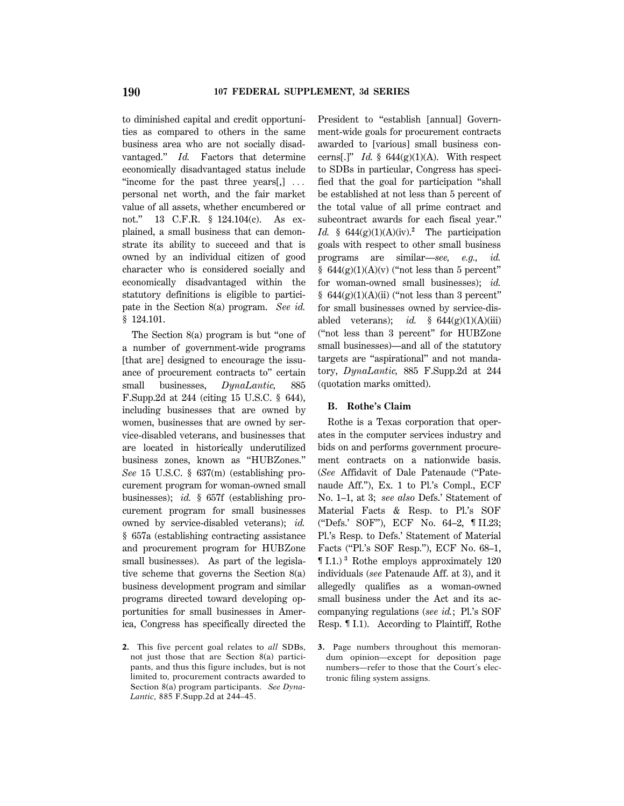to diminished capital and credit opportunities as compared to others in the same business area who are not socially disadvantaged.'' *Id.* Factors that determine economically disadvantaged status include "income for the past three years[,]  $\ldots$ personal net worth, and the fair market value of all assets, whether encumbered or not.'' 13 C.F.R. § 124.104(c). As explained, a small business that can demonstrate its ability to succeed and that is owned by an individual citizen of good character who is considered socially and economically disadvantaged within the statutory definitions is eligible to participate in the Section 8(a) program. *See id.* § 124.101.

The Section 8(a) program is but ''one of a number of government-wide programs [that are] designed to encourage the issuance of procurement contracts to'' certain small businesses, *DynaLantic,* 885 F.Supp.2d at 244 (citing 15 U.S.C. § 644), including businesses that are owned by women, businesses that are owned by service-disabled veterans, and businesses that are located in historically underutilized business zones, known as ''HUBZones.'' *See* 15 U.S.C. § 637(m) (establishing procurement program for woman-owned small businesses); *id.* § 657f (establishing procurement program for small businesses owned by service-disabled veterans); *id.* § 657a (establishing contracting assistance and procurement program for HUBZone small businesses). As part of the legislative scheme that governs the Section 8(a) business development program and similar programs directed toward developing opportunities for small businesses in America, Congress has specifically directed the

**2.** This five percent goal relates to *all* SDBs, not just those that are Section 8(a) participants, and thus this figure includes, but is not limited to, procurement contracts awarded to Section 8(a) program participants. *See Dyna-Lantic,* 885 F.Supp.2d at 244–45.

President to "establish [annual] Government-wide goals for procurement contracts awarded to [various] small business concerns[.]"  $Id. \S$  644(g)(1)(A). With respect to SDBs in particular, Congress has specified that the goal for participation ''shall be established at not less than 5 percent of the total value of all prime contract and subcontract awards for each fiscal year.'' *Id.* § 644(g)(1)(A)(iv).**<sup>2</sup>** The participation goals with respect to other small business programs are similar—*see, e.g., id.*  $§$  644(g)(1)(A)(v) ("not less than 5 percent" for woman-owned small businesses); *id.*  $§ 644(g)(1)(A)(ii)$  ("not less than 3 percent" for small businesses owned by service-disabled veterans); *id.* §  $644(g)(1)(A)(iii)$ (''not less than 3 percent'' for HUBZone small businesses)—and all of the statutory targets are ''aspirational'' and not mandatory, *DynaLantic,* 885 F.Supp.2d at 244 (quotation marks omitted).

### **B. Rothe's Claim**

Rothe is a Texas corporation that operates in the computer services industry and bids on and performs government procurement contracts on a nationwide basis. (*See* Affidavit of Dale Patenaude (''Patenaude Aff.''), Ex. 1 to Pl.'s Compl., ECF No. 1–1, at 3; *see also* Defs.' Statement of Material Facts & Resp. to Pl.'s SOF (''Defs.' SOF''), ECF No. 64–2, ¶ II.23; Pl.'s Resp. to Defs.' Statement of Material Facts (''Pl.'s SOF Resp.''), ECF No. 68–1, ¶ I.1.) **<sup>3</sup>** Rothe employs approximately 120 individuals (*see* Patenaude Aff. at 3), and it allegedly qualifies as a woman-owned small business under the Act and its accompanying regulations (*see id.*; Pl.'s SOF Resp. ¶ I.1). According to Plaintiff, Rothe

**3.** Page numbers throughout this memorandum opinion—except for deposition page numbers—refer to those that the Court's electronic filing system assigns.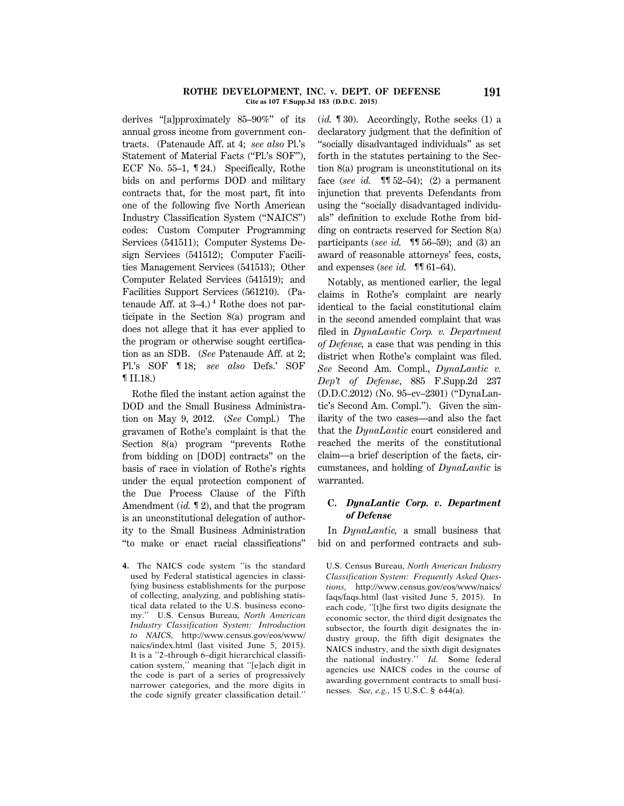derives ''[a]pproximately 85–90%'' of its annual gross income from government contracts. (Patenaude Aff. at 4; *see also* Pl.'s Statement of Material Facts ("Pl.'s SOF"), ECF No. 55–1, ¶ 24.) Specifically, Rothe bids on and performs DOD and military contracts that, for the most part, fit into one of the following five North American Industry Classification System (''NAICS'') codes: Custom Computer Programming Services (541511); Computer Systems Design Services (541512); Computer Facilities Management Services (541513); Other Computer Related Services (541519); and Facilities Support Services (561210). (Patenaude Aff. at 3–4.) **<sup>4</sup>** Rothe does not participate in the Section 8(a) program and does not allege that it has ever applied to the program or otherwise sought certification as an SDB. (*See* Patenaude Aff. at 2; Pl.'s SOF ¶ 18; *see also* Defs.' SOF ¶ II.18.)

Rothe filed the instant action against the DOD and the Small Business Administration on May 9, 2012. (*See* Compl.) The gravamen of Rothe's complaint is that the Section 8(a) program ''prevents Rothe from bidding on [DOD] contracts'' on the basis of race in violation of Rothe's rights under the equal protection component of the Due Process Clause of the Fifth Amendment (*id.* ¶ 2), and that the program is an unconstitutional delegation of authority to the Small Business Administration ''to make or enact racial classifications''

**4.** The NAICS code system ''is the standard used by Federal statistical agencies in classifying business establishments for the purpose of collecting, analyzing, and publishing statistical data related to the U.S. business economy.'' U.S. Census Bureau, *North American Industry Classification System: Introduction to NAICS,* http://www.census.gov/eos/www/ naics/index.html (last visited June 5, 2015). It is a ''2–through 6–digit hierarchical classification system,'' meaning that ''[e]ach digit in the code is part of a series of progressively narrower categories, and the more digits in the code signify greater classification detail.'' (*id.* ¶ 30). Accordingly, Rothe seeks (1) a declaratory judgment that the definition of ''socially disadvantaged individuals'' as set forth in the statutes pertaining to the Section 8(a) program is unconstitutional on its face (*see id.* ¶¶ 52–54); (2) a permanent injunction that prevents Defendants from using the ''socially disadvantaged individuals'' definition to exclude Rothe from bidding on contracts reserved for Section 8(a) participants (*see id.*  $\P$   $[$  56–59); and (3) an award of reasonable attorneys' fees, costs, and expenses (*see id.* ¶¶ 61–64).

Notably, as mentioned earlier, the legal claims in Rothe's complaint are nearly identical to the facial constitutional claim in the second amended complaint that was filed in *DynaLantic Corp. v. Department of Defense,* a case that was pending in this district when Rothe's complaint was filed. *See* Second Am. Compl., *DynaLantic v. Dep't of Defense*, 885 F.Supp.2d 237 (D.D.C.2012) (No. 95–cv–2301) (''DynaLantic's Second Am. Compl.''). Given the similarity of the two cases—and also the fact that the *DynaLantic* court considered and reached the merits of the constitutional claim—a brief description of the facts, circumstances, and holding of *DynaLantic* is warranted.

# **C.** *DynaLantic Corp. v. Department of Defense*

In *DynaLantic,* a small business that bid on and performed contracts and sub-

U.S. Census Bureau, *North American Industry Classification System: Frequently Asked Questions,* http://www.census.gov/eos/www/naics/ faqs/faqs.html (last visited June 5, 2015). In each code, ''[t]he first two digits designate the economic sector, the third digit designates the subsector, the fourth digit designates the industry group, the fifth digit designates the NAICS industry, and the sixth digit designates the national industry.'' *Id.* Some federal agencies use NAICS codes in the course of awarding government contracts to small businesses. *See, e.g.,* 15 U.S.C. § 644(a).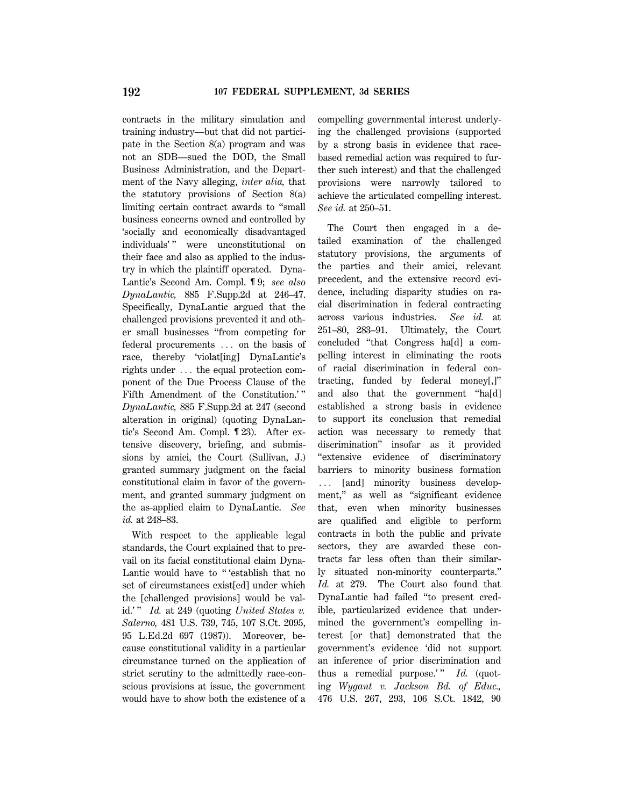contracts in the military simulation and training industry—but that did not participate in the Section 8(a) program and was not an SDB—sued the DOD, the Small Business Administration, and the Department of the Navy alleging, *inter alia,* that the statutory provisions of Section 8(a) limiting certain contract awards to ''small business concerns owned and controlled by 'socially and economically disadvantaged individuals' " were unconstitutional on their face and also as applied to the industry in which the plaintiff operated. Dyna-Lantic's Second Am. Compl. ¶ 9; *see also DynaLantic,* 885 F.Supp.2d at 246–47. Specifically, DynaLantic argued that the challenged provisions prevented it and other small businesses ''from competing for federal procurements ... on the basis of race, thereby 'violat[ing] DynaLantic's rights under  $\dots$  the equal protection component of the Due Process Clause of the Fifth Amendment of the Constitution.'" *DynaLantic,* 885 F.Supp.2d at 247 (second alteration in original) (quoting DynaLantic's Second Am. Compl. ¶ 23). After extensive discovery, briefing, and submissions by amici, the Court (Sullivan, J.) granted summary judgment on the facial constitutional claim in favor of the government, and granted summary judgment on the as-applied claim to DynaLantic. *See id.* at 248–83.

With respect to the applicable legal standards, the Court explained that to prevail on its facial constitutional claim Dyna-Lantic would have to "'establish that no set of circumstances exist[ed] under which the [challenged provisions] would be valid.' '' *Id.* at 249 (quoting *United States v. Salerno,* 481 U.S. 739, 745, 107 S.Ct. 2095, 95 L.Ed.2d 697 (1987)). Moreover, because constitutional validity in a particular circumstance turned on the application of strict scrutiny to the admittedly race-conscious provisions at issue, the government would have to show both the existence of a compelling governmental interest underlying the challenged provisions (supported by a strong basis in evidence that racebased remedial action was required to further such interest) and that the challenged provisions were narrowly tailored to achieve the articulated compelling interest. *See id.* at 250–51.

The Court then engaged in a detailed examination of the challenged statutory provisions, the arguments of the parties and their amici, relevant precedent, and the extensive record evidence, including disparity studies on racial discrimination in federal contracting across various industries. *See id.* at 251–80, 283–91. Ultimately, the Court concluded ''that Congress ha[d] a compelling interest in eliminating the roots of racial discrimination in federal contracting, funded by federal money[,]'' and also that the government ''ha[d] established a strong basis in evidence to support its conclusion that remedial action was necessary to remedy that discrimination'' insofar as it provided ''extensive evidence of discriminatory barriers to minority business formation ... [and] minority business development,'' as well as ''significant evidence that, even when minority businesses are qualified and eligible to perform contracts in both the public and private sectors, they are awarded these contracts far less often than their similarly situated non-minority counterparts.'' *Id.* at 279. The Court also found that DynaLantic had failed ''to present credible, particularized evidence that undermined the government's compelling interest [or that] demonstrated that the government's evidence 'did not support an inference of prior discrimination and thus a remedial purpose.'"  $Id.$  (quoting *Wygant v. Jackson Bd. of Educ.,* 476 U.S. 267, 293, 106 S.Ct. 1842, 90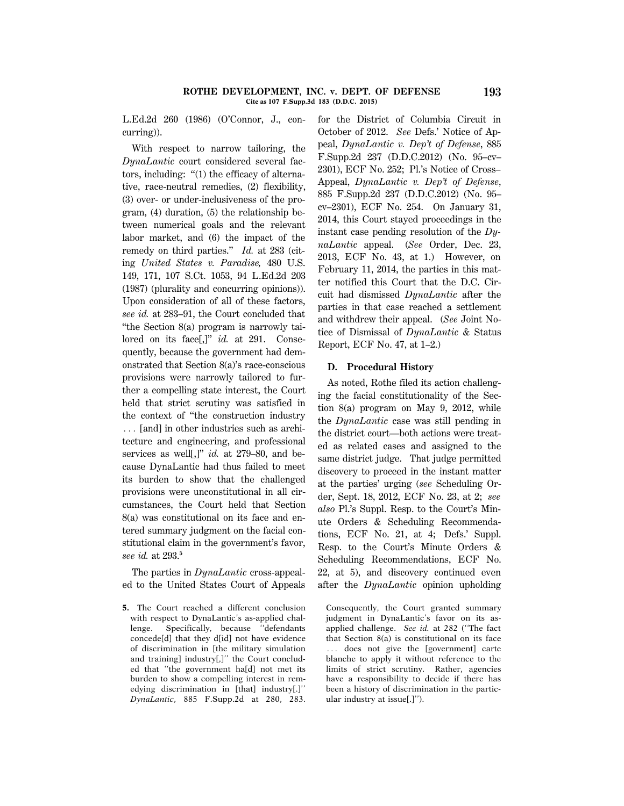L.Ed.2d 260 (1986) (O'Connor, J., concurring)).

With respect to narrow tailoring, the *DynaLantic* court considered several factors, including: "(1) the efficacy of alternative, race-neutral remedies, (2) flexibility, (3) over- or under-inclusiveness of the program, (4) duration, (5) the relationship between numerical goals and the relevant labor market, and (6) the impact of the remedy on third parties.'' *Id.* at 283 (citing *United States v. Paradise,* 480 U.S. 149, 171, 107 S.Ct. 1053, 94 L.Ed.2d 203 (1987) (plurality and concurring opinions)). Upon consideration of all of these factors, *see id.* at 283–91, the Court concluded that ''the Section 8(a) program is narrowly tailored on its face[,]'' *id.* at 291. Consequently, because the government had demonstrated that Section 8(a)'s race-conscious provisions were narrowly tailored to further a compelling state interest, the Court held that strict scrutiny was satisfied in the context of ''the construction industry  $\ldots$  [and] in other industries such as architecture and engineering, and professional services as well[,]'' *id.* at 279–80, and because DynaLantic had thus failed to meet its burden to show that the challenged provisions were unconstitutional in all circumstances, the Court held that Section 8(a) was constitutional on its face and entered summary judgment on the facial constitutional claim in the government's favor, *see id.* at 293.**<sup>5</sup>**

The parties in *DynaLantic* cross-appealed to the United States Court of Appeals

**5.** The Court reached a different conclusion with respect to DynaLantic's as-applied challenge. Specifically, because ''defendants concede[d] that they d[id] not have evidence of discrimination in [the military simulation and training] industry[,]'' the Court concluded that ''the government ha[d] not met its burden to show a compelling interest in remedying discrimination in [that] industry[.]'' *DynaLantic,* 885 F.Supp.2d at 280, 283. for the District of Columbia Circuit in October of 2012. *See* Defs.' Notice of Appeal, *DynaLantic v. Dep't of Defense*, 885 F.Supp.2d 237 (D.D.C.2012) (No. 95–cv– 2301), ECF No. 252; Pl.'s Notice of Cross– Appeal, *DynaLantic v. Dep't of Defense*, 885 F.Supp.2d 237 (D.D.C.2012) (No. 95– cv–2301), ECF No. 254. On January 31, 2014, this Court stayed proceedings in the instant case pending resolution of the *DynaLantic* appeal. (*See* Order, Dec. 23, 2013, ECF No. 43, at 1.) However, on February 11, 2014, the parties in this matter notified this Court that the D.C. Circuit had dismissed *DynaLantic* after the parties in that case reached a settlement and withdrew their appeal. (*See* Joint Notice of Dismissal of *DynaLantic* & Status Report, ECF No. 47, at 1–2.)

### **D. Procedural History**

As noted, Rothe filed its action challenging the facial constitutionality of the Section 8(a) program on May 9, 2012, while the *DynaLantic* case was still pending in the district court—both actions were treated as related cases and assigned to the same district judge. That judge permitted discovery to proceed in the instant matter at the parties' urging (*see* Scheduling Order, Sept. 18, 2012, ECF No. 23, at 2; *see also* Pl.'s Suppl. Resp. to the Court's Minute Orders & Scheduling Recommendations, ECF No. 21, at 4; Defs.' Suppl. Resp. to the Court's Minute Orders & Scheduling Recommendations, ECF No. 22, at 5), and discovery continued even after the *DynaLantic* opinion upholding

Consequently, the Court granted summary judgment in DynaLantic's favor on its asapplied challenge. *See id.* at 282 (''The fact that Section 8(a) is constitutional on its face ... does not give the [government] carte blanche to apply it without reference to the limits of strict scrutiny. Rather, agencies have a responsibility to decide if there has been a history of discrimination in the particular industry at issue[.]'').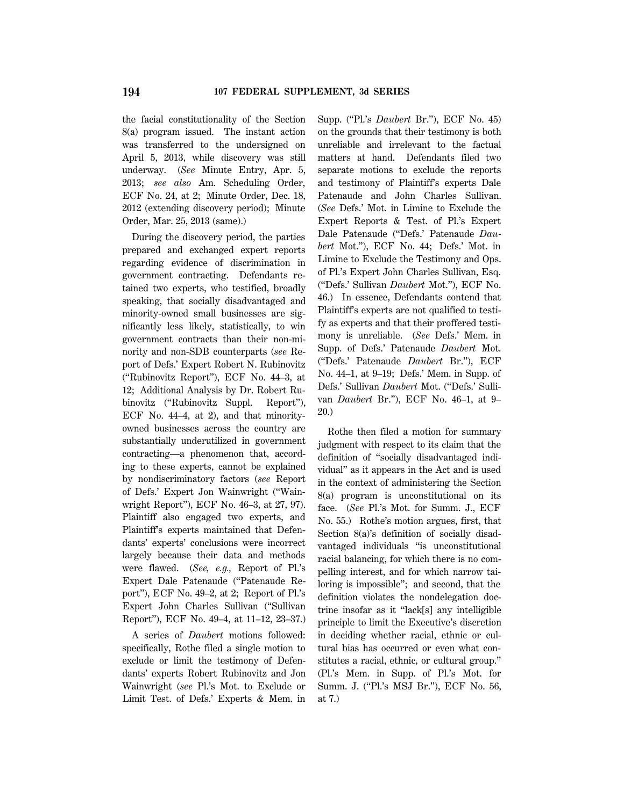the facial constitutionality of the Section 8(a) program issued. The instant action was transferred to the undersigned on April 5, 2013, while discovery was still underway. (*See* Minute Entry, Apr. 5, 2013; *see also* Am. Scheduling Order, ECF No. 24, at 2; Minute Order, Dec. 18, 2012 (extending discovery period); Minute Order, Mar. 25, 2013 (same).)

During the discovery period, the parties prepared and exchanged expert reports regarding evidence of discrimination in government contracting. Defendants retained two experts, who testified, broadly speaking, that socially disadvantaged and minority-owned small businesses are significantly less likely, statistically, to win government contracts than their non-minority and non-SDB counterparts (*see* Report of Defs.' Expert Robert N. Rubinovitz (''Rubinovitz Report''), ECF No. 44–3, at 12; Additional Analysis by Dr. Robert Rubinovitz ("Rubinovitz Suppl. Report"), ECF No. 44–4, at 2), and that minorityowned businesses across the country are substantially underutilized in government contracting—a phenomenon that, according to these experts, cannot be explained by nondiscriminatory factors (*see* Report of Defs.' Expert Jon Wainwright (''Wainwright Report''), ECF No. 46–3, at 27, 97). Plaintiff also engaged two experts, and Plaintiff's experts maintained that Defendants' experts' conclusions were incorrect largely because their data and methods were flawed. (*See, e.g.,* Report of Pl.'s Expert Dale Patenaude (''Patenaude Report''), ECF No. 49–2, at 2; Report of Pl.'s Expert John Charles Sullivan (''Sullivan Report''), ECF No. 49–4, at 11–12, 23–37.)

A series of *Daubert* motions followed: specifically, Rothe filed a single motion to exclude or limit the testimony of Defendants' experts Robert Rubinovitz and Jon Wainwright (*see* Pl.'s Mot. to Exclude or Limit Test. of Defs.' Experts & Mem. in Supp. (''Pl.'s *Daubert* Br.''), ECF No. 45) on the grounds that their testimony is both unreliable and irrelevant to the factual matters at hand. Defendants filed two separate motions to exclude the reports and testimony of Plaintiff's experts Dale Patenaude and John Charles Sullivan. (*See* Defs.' Mot. in Limine to Exclude the Expert Reports & Test. of Pl.'s Expert Dale Patenaude (''Defs.' Patenaude *Daubert* Mot.''), ECF No. 44; Defs.' Mot. in Limine to Exclude the Testimony and Ops. of Pl.'s Expert John Charles Sullivan, Esq. (''Defs.' Sullivan *Daubert* Mot.''), ECF No. 46.) In essence, Defendants contend that Plaintiff's experts are not qualified to testify as experts and that their proffered testimony is unreliable. (*See* Defs.' Mem. in Supp. of Defs.' Patenaude *Daubert* Mot. (''Defs.' Patenaude *Daubert* Br.''), ECF No. 44–1, at 9–19; Defs.' Mem. in Supp. of Defs.' Sullivan *Daubert* Mot. (''Defs.' Sullivan *Daubert* Br.''), ECF No. 46–1, at 9– 20.)

Rothe then filed a motion for summary judgment with respect to its claim that the definition of ''socially disadvantaged individual'' as it appears in the Act and is used in the context of administering the Section 8(a) program is unconstitutional on its face. (*See* Pl.'s Mot. for Summ. J., ECF No. 55.) Rothe's motion argues, first, that Section 8(a)'s definition of socially disadvantaged individuals ''is unconstitutional racial balancing, for which there is no compelling interest, and for which narrow tailoring is impossible''; and second, that the definition violates the nondelegation doctrine insofar as it ''lack[s] any intelligible principle to limit the Executive's discretion in deciding whether racial, ethnic or cultural bias has occurred or even what constitutes a racial, ethnic, or cultural group.'' (Pl.'s Mem. in Supp. of Pl.'s Mot. for Summ. J. ("Pl.'s MSJ Br."), ECF No. 56, at 7.)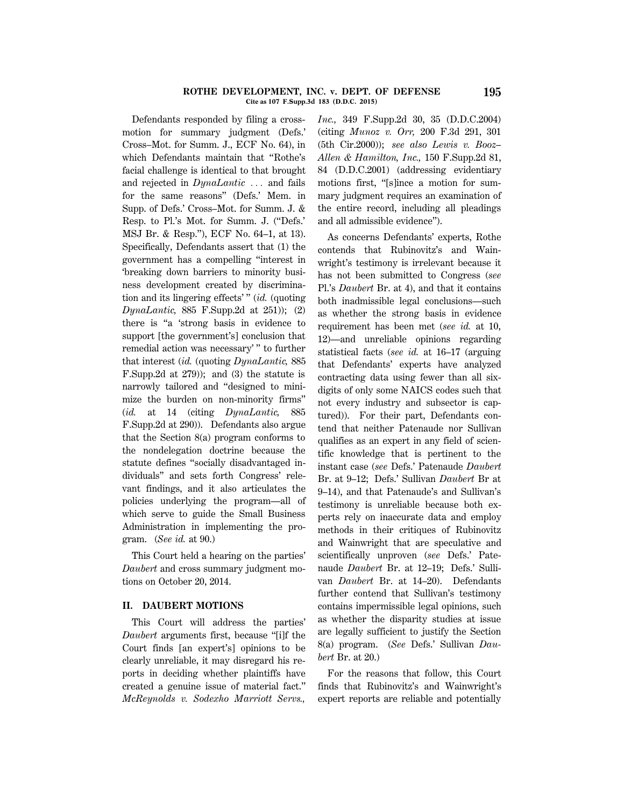#### **ROTHE DEVELOPMENT, INC. v. DEPT. OF DEFENSE 195 Cite as 107 F.Supp.3d 183 (D.D.C. 2015)**

Defendants responded by filing a crossmotion for summary judgment (Defs.' Cross–Mot. for Summ. J., ECF No. 64), in which Defendants maintain that ''Rothe's facial challenge is identical to that brought and rejected in *DynaLantic* ... and fails for the same reasons'' (Defs.' Mem. in Supp. of Defs.' Cross–Mot. for Summ. J. & Resp. to Pl.'s Mot. for Summ. J. (''Defs.' MSJ Br. & Resp.''), ECF No. 64–1, at 13). Specifically, Defendants assert that (1) the government has a compelling ''interest in 'breaking down barriers to minority business development created by discrimination and its lingering effects' '' (*id.* (quoting *DynaLantic,* 885 F.Supp.2d at 251)); (2) there is "a 'strong basis in evidence to support [the government's] conclusion that remedial action was necessary' '' to further that interest (*id.* (quoting *DynaLantic,* 885 F.Supp.2d at 279)); and (3) the statute is narrowly tailored and ''designed to minimize the burden on non-minority firms'' (*id.* at 14 (citing *DynaLantic,* 885 F.Supp.2d at 290)). Defendants also argue that the Section 8(a) program conforms to the nondelegation doctrine because the statute defines ''socially disadvantaged individuals'' and sets forth Congress' relevant findings, and it also articulates the policies underlying the program—all of which serve to guide the Small Business Administration in implementing the program. (*See id.* at 90.)

This Court held a hearing on the parties' *Daubert* and cross summary judgment motions on October 20, 2014.

### **II. DAUBERT MOTIONS**

This Court will address the parties' *Daubert* arguments first, because ''[i]f the Court finds [an expert's] opinions to be clearly unreliable, it may disregard his reports in deciding whether plaintiffs have created a genuine issue of material fact.'' *McReynolds v. Sodexho Marriott Servs.,*

*Inc.,* 349 F.Supp.2d 30, 35 (D.D.C.2004) (citing *Munoz v. Orr,* 200 F.3d 291, 301 (5th Cir.2000)); *see also Lewis v. Booz– Allen & Hamilton, Inc.,* 150 F.Supp.2d 81, 84 (D.D.C.2001) (addressing evidentiary motions first, ''[s]ince a motion for summary judgment requires an examination of the entire record, including all pleadings and all admissible evidence'').

As concerns Defendants' experts, Rothe contends that Rubinovitz's and Wainwright's testimony is irrelevant because it has not been submitted to Congress (*see* Pl.'s *Daubert* Br. at 4), and that it contains both inadmissible legal conclusions—such as whether the strong basis in evidence requirement has been met (*see id.* at 10, 12)—and unreliable opinions regarding statistical facts (*see id.* at 16–17 (arguing that Defendants' experts have analyzed contracting data using fewer than all sixdigits of only some NAICS codes such that not every industry and subsector is captured)). For their part, Defendants contend that neither Patenaude nor Sullivan qualifies as an expert in any field of scientific knowledge that is pertinent to the instant case (*see* Defs.' Patenaude *Daubert* Br. at 9–12; Defs.' Sullivan *Daubert* Br at 9–14), and that Patenaude's and Sullivan's testimony is unreliable because both experts rely on inaccurate data and employ methods in their critiques of Rubinovitz and Wainwright that are speculative and scientifically unproven (*see* Defs.' Patenaude *Daubert* Br. at 12–19; Defs.' Sullivan *Daubert* Br. at 14–20). Defendants further contend that Sullivan's testimony contains impermissible legal opinions, such as whether the disparity studies at issue are legally sufficient to justify the Section 8(a) program. (*See* Defs.' Sullivan *Daubert* Br. at 20.)

For the reasons that follow, this Court finds that Rubinovitz's and Wainwright's expert reports are reliable and potentially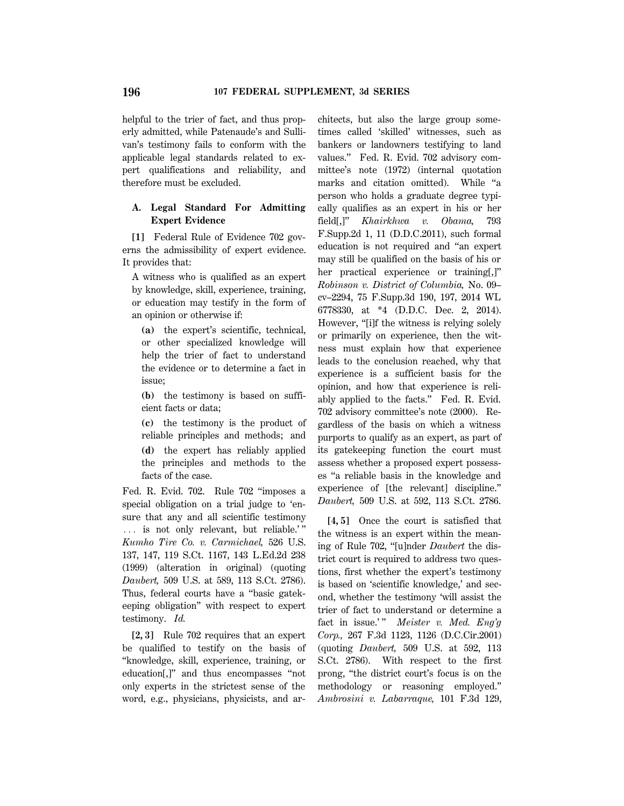helpful to the trier of fact, and thus properly admitted, while Patenaude's and Sullivan's testimony fails to conform with the applicable legal standards related to expert qualifications and reliability, and therefore must be excluded.

# **A. Legal Standard For Admitting Expert Evidence**

**[1]** Federal Rule of Evidence 702 governs the admissibility of expert evidence. It provides that:

A witness who is qualified as an expert by knowledge, skill, experience, training, or education may testify in the form of an opinion or otherwise if:

**(a)** the expert's scientific, technical, or other specialized knowledge will help the trier of fact to understand the evidence or to determine a fact in issue;

**(b)** the testimony is based on sufficient facts or data;

**(c)** the testimony is the product of reliable principles and methods; and **(d)** the expert has reliably applied the principles and methods to the facts of the case.

Fed. R. Evid. 702. Rule 702 ''imposes a special obligation on a trial judge to 'ensure that any and all scientific testimony ... is not only relevant, but reliable.'" *Kumho Tire Co. v. Carmichael,* 526 U.S. 137, 147, 119 S.Ct. 1167, 143 L.Ed.2d 238 (1999) (alteration in original) (quoting *Daubert,* 509 U.S. at 589, 113 S.Ct. 2786). Thus, federal courts have a ''basic gatekeeping obligation'' with respect to expert testimony. *Id.*

**[2, 3]** Rule 702 requires that an expert be qualified to testify on the basis of ''knowledge, skill, experience, training, or education[,]'' and thus encompasses ''not only experts in the strictest sense of the word, e.g., physicians, physicists, and architects, but also the large group sometimes called 'skilled' witnesses, such as bankers or landowners testifying to land values.'' Fed. R. Evid. 702 advisory committee's note (1972) (internal quotation marks and citation omitted). While ''a person who holds a graduate degree typically qualifies as an expert in his or her field[,]'' *Khairkhwa v. Obama,* 793 F.Supp.2d 1, 11 (D.D.C.2011), such formal education is not required and ''an expert may still be qualified on the basis of his or her practical experience or training[,]'' *Robinson v. District of Columbia,* No. 09– cv–2294, 75 F.Supp.3d 190, 197, 2014 WL 6778330, at \*4 (D.D.C. Dec. 2, 2014). However, "[i]f the witness is relying solely or primarily on experience, then the witness must explain how that experience leads to the conclusion reached, why that experience is a sufficient basis for the opinion, and how that experience is reliably applied to the facts.'' Fed. R. Evid. 702 advisory committee's note (2000). Regardless of the basis on which a witness purports to qualify as an expert, as part of its gatekeeping function the court must assess whether a proposed expert possesses ''a reliable basis in the knowledge and experience of [the relevant] discipline.'' *Daubert,* 509 U.S. at 592, 113 S.Ct. 2786.

**[4, 5]** Once the court is satisfied that the witness is an expert within the meaning of Rule 702, ''[u]nder *Daubert* the district court is required to address two questions, first whether the expert's testimony is based on 'scientific knowledge,' and second, whether the testimony 'will assist the trier of fact to understand or determine a fact in issue.'" Meister v. Med. Eng'g *Corp.,* 267 F.3d 1123, 1126 (D.C.Cir.2001) (quoting *Daubert,* 509 U.S. at 592, 113 S.Ct. 2786). With respect to the first prong, ''the district court's focus is on the methodology or reasoning employed.'' *Ambrosini v. Labarraque,* 101 F.3d 129,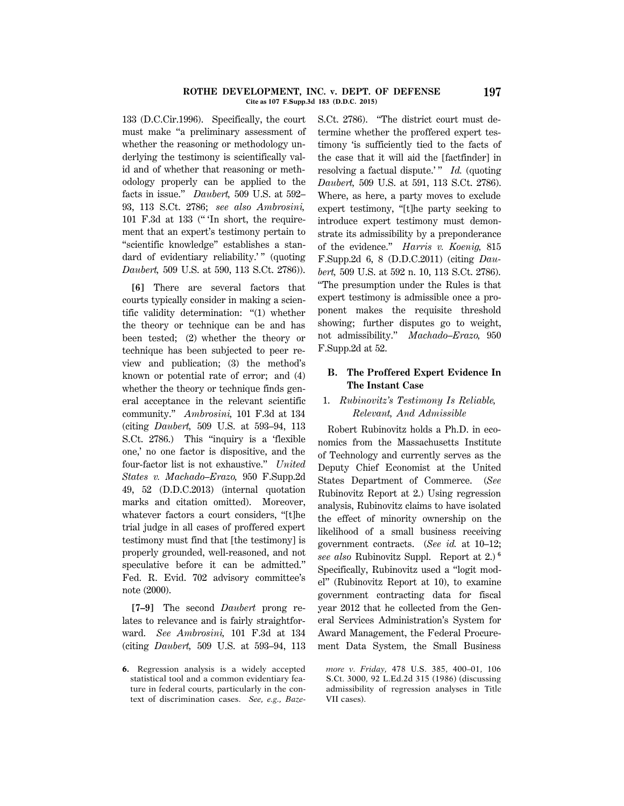133 (D.C.Cir.1996). Specifically, the court must make ''a preliminary assessment of whether the reasoning or methodology underlying the testimony is scientifically valid and of whether that reasoning or methodology properly can be applied to the facts in issue.'' *Daubert,* 509 U.S. at 592– 93, 113 S.Ct. 2786; *see also Ambrosini,* 101 F.3d at 133 ('' 'In short, the requirement that an expert's testimony pertain to ''scientific knowledge'' establishes a standard of evidentiary reliability.'" (quoting *Daubert,* 509 U.S. at 590, 113 S.Ct. 2786)).

**[6]** There are several factors that courts typically consider in making a scientific validity determination: ''(1) whether the theory or technique can be and has been tested; (2) whether the theory or technique has been subjected to peer review and publication; (3) the method's known or potential rate of error; and (4) whether the theory or technique finds general acceptance in the relevant scientific community.'' *Ambrosini,* 101 F.3d at 134 (citing *Daubert,* 509 U.S. at 593–94, 113 S.Ct. 2786.) This ''inquiry is a 'flexible one,' no one factor is dispositive, and the four-factor list is not exhaustive.'' *United States v. Machado–Erazo,* 950 F.Supp.2d 49, 52 (D.D.C.2013) (internal quotation marks and citation omitted). Moreover, whatever factors a court considers, "[t]he trial judge in all cases of proffered expert testimony must find that [the testimony] is properly grounded, well-reasoned, and not speculative before it can be admitted.'' Fed. R. Evid. 702 advisory committee's note (2000).

**[7–9]** The second *Daubert* prong relates to relevance and is fairly straightforward. *See Ambrosini,* 101 F.3d at 134 (citing *Daubert,* 509 U.S. at 593–94, 113

**6.** Regression analysis is a widely accepted statistical tool and a common evidentiary feature in federal courts, particularly in the context of discrimination cases. *See, e.g., Baze*- S.Ct. 2786). ''The district court must determine whether the proffered expert testimony 'is sufficiently tied to the facts of the case that it will aid the [factfinder] in resolving a factual dispute.'" *Id.* (quoting *Daubert,* 509 U.S. at 591, 113 S.Ct. 2786). Where, as here, a party moves to exclude expert testimony, "[t]he party seeking to introduce expert testimony must demonstrate its admissibility by a preponderance of the evidence.'' *Harris v. Koenig,* 815 F.Supp.2d 6, 8 (D.D.C.2011) (citing *Daubert,* 509 U.S. at 592 n. 10, 113 S.Ct. 2786). ''The presumption under the Rules is that expert testimony is admissible once a proponent makes the requisite threshold showing; further disputes go to weight, not admissibility.'' *Machado–Erazo,* 950 F.Supp.2d at 52.

# **B. The Proffered Expert Evidence In The Instant Case**

# 1. *Rubinovitz's Testimony Is Reliable, Relevant, And Admissible*

Robert Rubinovitz holds a Ph.D. in economics from the Massachusetts Institute of Technology and currently serves as the Deputy Chief Economist at the United States Department of Commerce. (*See* Rubinovitz Report at 2.) Using regression analysis, Rubinovitz claims to have isolated the effect of minority ownership on the likelihood of a small business receiving government contracts. (*See id.* at 10–12; *see also* Rubinovitz Suppl. Report at 2.) **<sup>6</sup>** Specifically, Rubinovitz used a ''logit model'' (Rubinovitz Report at 10), to examine government contracting data for fiscal year 2012 that he collected from the General Services Administration's System for Award Management, the Federal Procurement Data System, the Small Business

*more v. Friday,* 478 U.S. 385, 400–01, 106 S.Ct. 3000, 92 L.Ed.2d 315 (1986) (discussing admissibility of regression analyses in Title VII cases).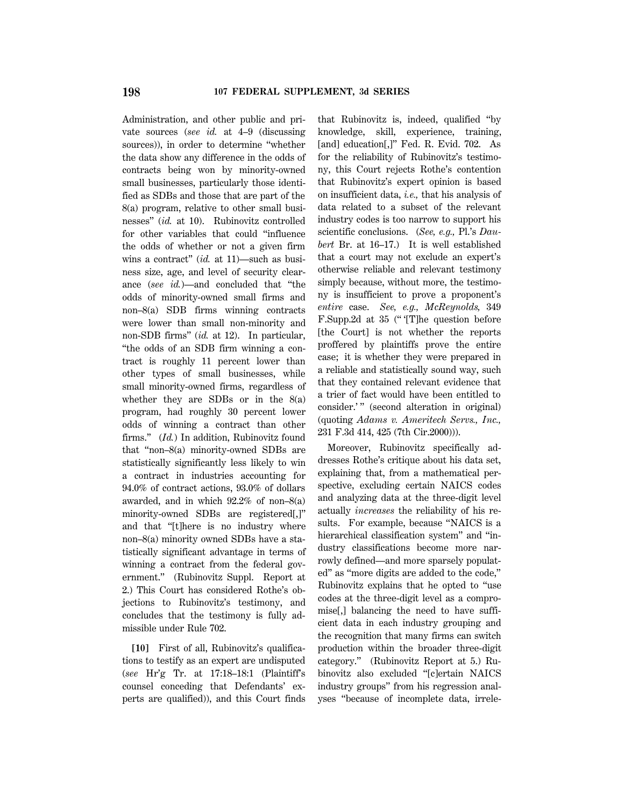Administration, and other public and private sources (*see id.* at 4–9 (discussing sources)), in order to determine ''whether the data show any difference in the odds of contracts being won by minority-owned small businesses, particularly those identified as SDBs and those that are part of the 8(a) program, relative to other small businesses'' (*id.* at 10). Rubinovitz controlled for other variables that could ''influence the odds of whether or not a given firm wins a contract'' (*id.* at 11)—such as business size, age, and level of security clearance (*see id.*)—and concluded that ''the odds of minority-owned small firms and non–8(a) SDB firms winning contracts were lower than small non-minority and non-SDB firms'' (*id.* at 12). In particular, ''the odds of an SDB firm winning a contract is roughly 11 percent lower than other types of small businesses, while small minority-owned firms, regardless of whether they are SDBs or in the  $8(a)$ program, had roughly 30 percent lower odds of winning a contract than other firms.'' (*Id.*) In addition, Rubinovitz found that ''non–8(a) minority-owned SDBs are statistically significantly less likely to win a contract in industries accounting for 94.0% of contract actions, 93.0% of dollars awarded, and in which 92.2% of non–8(a) minority-owned SDBs are registered[,]'' and that ''[t]here is no industry where non–8(a) minority owned SDBs have a statistically significant advantage in terms of winning a contract from the federal government.'' (Rubinovitz Suppl. Report at 2.) This Court has considered Rothe's objections to Rubinovitz's testimony, and concludes that the testimony is fully admissible under Rule 702.

**[10]** First of all, Rubinovitz's qualifications to testify as an expert are undisputed (*see* Hr'g Tr. at 17:18–18:1 (Plaintiff's counsel conceding that Defendants' experts are qualified)), and this Court finds that Rubinovitz is, indeed, qualified ''by knowledge, skill, experience, training, [and] education[,]" Fed. R. Evid. 702. As for the reliability of Rubinovitz's testimony, this Court rejects Rothe's contention that Rubinovitz's expert opinion is based on insufficient data, *i.e.,* that his analysis of data related to a subset of the relevant industry codes is too narrow to support his scientific conclusions. (*See, e.g.,* Pl.'s *Daubert* Br. at 16–17.) It is well established that a court may not exclude an expert's otherwise reliable and relevant testimony simply because, without more, the testimony is insufficient to prove a proponent's *entire* case. *See, e.g., McReynolds,* 349 F.Supp.2d at 35 ("The question before [the Court] is not whether the reports proffered by plaintiffs prove the entire case; it is whether they were prepared in a reliable and statistically sound way, such that they contained relevant evidence that a trier of fact would have been entitled to consider.' '' (second alteration in original) (quoting *Adams v. Ameritech Servs., Inc.,* 231 F.3d 414, 425 (7th Cir.2000))).

Moreover, Rubinovitz specifically addresses Rothe's critique about his data set, explaining that, from a mathematical perspective, excluding certain NAICS codes and analyzing data at the three-digit level actually *increases* the reliability of his results. For example, because "NAICS is a hierarchical classification system'' and ''industry classifications become more narrowly defined—and more sparsely populated'' as ''more digits are added to the code,'' Rubinovitz explains that he opted to ''use codes at the three-digit level as a compromise[,] balancing the need to have sufficient data in each industry grouping and the recognition that many firms can switch production within the broader three-digit category.'' (Rubinovitz Report at 5.) Rubinovitz also excluded ''[c]ertain NAICS industry groups'' from his regression analyses ''because of incomplete data, irrele-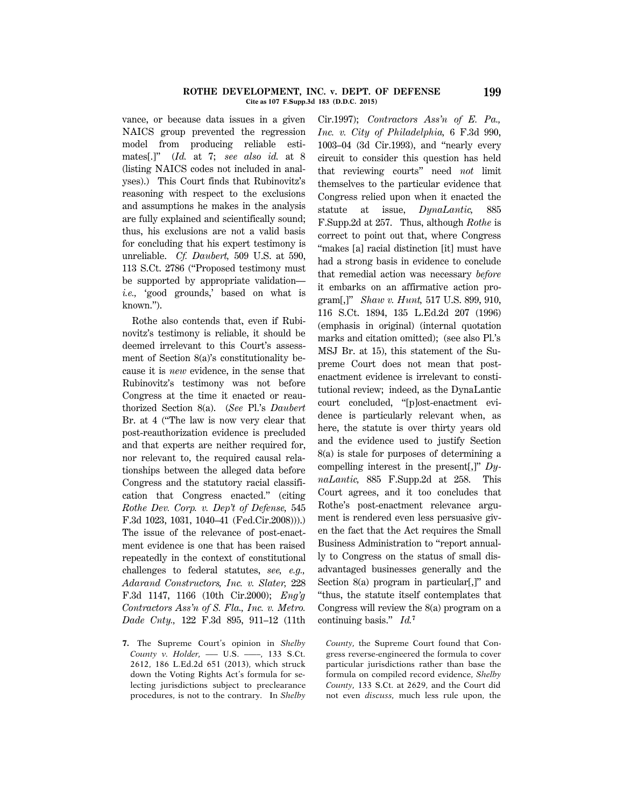#### **ROTHE DEVELOPMENT, INC. v. DEPT. OF DEFENSE 199 Cite as 107 F.Supp.3d 183 (D.D.C. 2015)**

vance, or because data issues in a given NAICS group prevented the regression model from producing reliable estimates[.]'' (*Id.* at 7; *see also id.* at 8 (listing NAICS codes not included in analyses).) This Court finds that Rubinovitz's reasoning with respect to the exclusions and assumptions he makes in the analysis are fully explained and scientifically sound; thus, his exclusions are not a valid basis for concluding that his expert testimony is unreliable. *Cf. Daubert,* 509 U.S. at 590, 113 S.Ct. 2786 (''Proposed testimony must be supported by appropriate validation *i.e.,* 'good grounds,' based on what is known.'').

Rothe also contends that, even if Rubinovitz's testimony is reliable, it should be deemed irrelevant to this Court's assessment of Section 8(a)'s constitutionality because it is *new* evidence, in the sense that Rubinovitz's testimony was not before Congress at the time it enacted or reauthorized Section 8(a). (*See* Pl.'s *Daubert* Br. at 4 (''The law is now very clear that post-reauthorization evidence is precluded and that experts are neither required for, nor relevant to, the required causal relationships between the alleged data before Congress and the statutory racial classification that Congress enacted.'' (citing *Rothe Dev. Corp. v. Dep't of Defense,* 545 F.3d 1023, 1031, 1040–41 (Fed.Cir.2008))).) The issue of the relevance of post-enactment evidence is one that has been raised repeatedly in the context of constitutional challenges to federal statutes, *see, e.g., Adarand Constructors, Inc. v. Slater,* 228 F.3d 1147, 1166 (10th Cir.2000); *Eng'g Contractors Ass'n of S. Fla., Inc. v. Metro. Dade Cnty.,* 122 F.3d 895, 911–12 (11th

**7.** The Supreme Court's opinion in *Shelby County v. Holder, -- U.S. -- 133 S.Ct.* 2612, 186 L.Ed.2d 651 (2013), which struck down the Voting Rights Act's formula for selecting jurisdictions subject to preclearance procedures, is not to the contrary. In *Shelby* Cir.1997); *Contractors Ass'n of E. Pa., Inc. v. City of Philadelphia,* 6 F.3d 990, 1003–04 (3d Cir.1993), and ''nearly every circuit to consider this question has held that reviewing courts'' need *not* limit themselves to the particular evidence that Congress relied upon when it enacted the statute at issue, *DynaLantic,* 885 F.Supp.2d at 257. Thus, although *Rothe* is correct to point out that, where Congress ''makes [a] racial distinction [it] must have had a strong basis in evidence to conclude that remedial action was necessary *before* it embarks on an affirmative action program[,]'' *Shaw v. Hunt,* 517 U.S. 899, 910, 116 S.Ct. 1894, 135 L.Ed.2d 207 (1996) (emphasis in original) (internal quotation marks and citation omitted); (see also Pl.'s MSJ Br. at 15), this statement of the Supreme Court does not mean that postenactment evidence is irrelevant to constitutional review; indeed, as the DynaLantic court concluded, ''[p]ost-enactment evidence is particularly relevant when, as here, the statute is over thirty years old and the evidence used to justify Section 8(a) is stale for purposes of determining a compelling interest in the present[,]'' *DynaLantic,* 885 F.Supp.2d at 258. This Court agrees, and it too concludes that Rothe's post-enactment relevance argument is rendered even less persuasive given the fact that the Act requires the Small Business Administration to ''report annually to Congress on the status of small disadvantaged businesses generally and the Section 8(a) program in particular[,]" and ''thus, the statute itself contemplates that Congress will review the 8(a) program on a continuing basis.'' *Id.***<sup>7</sup>**

*County,* the Supreme Court found that Congress reverse-engineered the formula to cover particular jurisdictions rather than base the formula on compiled record evidence, *Shelby County,* 133 S.Ct. at 2629, and the Court did not even *discuss,* much less rule upon, the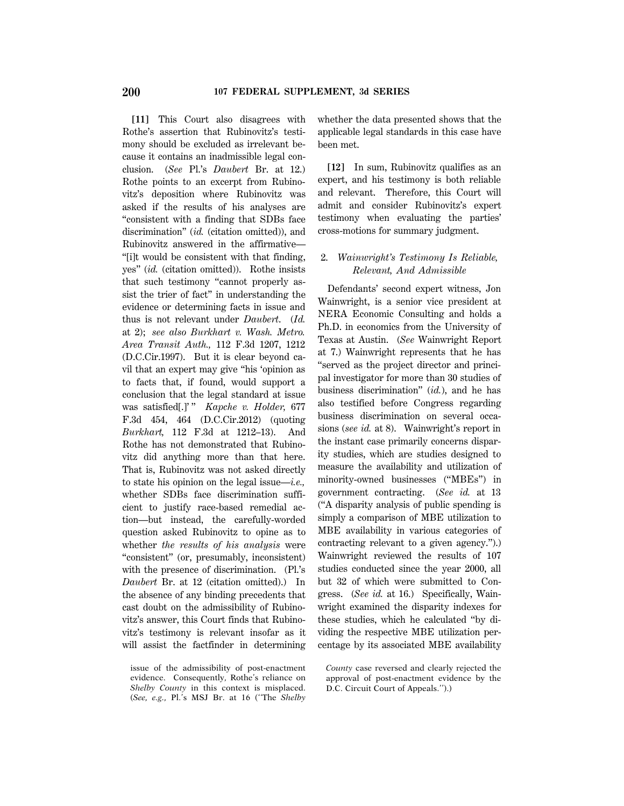**[11]** This Court also disagrees with Rothe's assertion that Rubinovitz's testimony should be excluded as irrelevant because it contains an inadmissible legal conclusion. (*See* Pl.'s *Daubert* Br. at 12.) Rothe points to an excerpt from Rubinovitz's deposition where Rubinovitz was asked if the results of his analyses are ''consistent with a finding that SDBs face discrimination'' (*id.* (citation omitted)), and Rubinovitz answered in the affirmative— ''[i]t would be consistent with that finding, yes'' (*id.* (citation omitted)). Rothe insists that such testimony ''cannot properly assist the trier of fact'' in understanding the evidence or determining facts in issue and thus is not relevant under *Daubert*. (*Id.* at 2); *see also Burkhart v. Wash. Metro. Area Transit Auth.,* 112 F.3d 1207, 1212 (D.C.Cir.1997). But it is clear beyond cavil that an expert may give ''his 'opinion as to facts that, if found, would support a conclusion that the legal standard at issue was satisfied[.]' '' *Kapche v. Holder,* 677 F.3d 454, 464 (D.C.Cir.2012) (quoting *Burkhart,* 112 F.3d at 1212–13). And Rothe has not demonstrated that Rubinovitz did anything more than that here. That is, Rubinovitz was not asked directly to state his opinion on the legal issue—*i.e.,* whether SDBs face discrimination sufficient to justify race-based remedial action—but instead, the carefully-worded question asked Rubinovitz to opine as to whether *the results of his analysis* were ''consistent'' (or, presumably, inconsistent) with the presence of discrimination. (Pl.'s *Daubert* Br. at 12 (citation omitted).) In the absence of any binding precedents that cast doubt on the admissibility of Rubinovitz's answer, this Court finds that Rubinovitz's testimony is relevant insofar as it will assist the factfinder in determining whether the data presented shows that the applicable legal standards in this case have been met.

**[12]** In sum, Rubinovitz qualifies as an expert, and his testimony is both reliable and relevant. Therefore, this Court will admit and consider Rubinovitz's expert testimony when evaluating the parties' cross-motions for summary judgment.

# 2. *Wainwright's Testimony Is Reliable, Relevant, And Admissible*

Defendants' second expert witness, Jon Wainwright, is a senior vice president at NERA Economic Consulting and holds a Ph.D. in economics from the University of Texas at Austin. (*See* Wainwright Report at 7.) Wainwright represents that he has ''served as the project director and principal investigator for more than 30 studies of business discrimination'' (*id.*), and he has also testified before Congress regarding business discrimination on several occasions (*see id.* at 8). Wainwright's report in the instant case primarily concerns disparity studies, which are studies designed to measure the availability and utilization of minority-owned businesses (''MBEs'') in government contracting. (*See id.* at 13 (''A disparity analysis of public spending is simply a comparison of MBE utilization to MBE availability in various categories of contracting relevant to a given agency.'').) Wainwright reviewed the results of 107 studies conducted since the year 2000, all but 32 of which were submitted to Congress. (*See id.* at 16.) Specifically, Wainwright examined the disparity indexes for these studies, which he calculated ''by dividing the respective MBE utilization percentage by its associated MBE availability

issue of the admissibility of post-enactment evidence. Consequently, Rothe's reliance on *Shelby County* in this context is misplaced. (*See, e.g.,* Pl.'s MSJ Br. at 16 (''The *Shelby*

*County* case reversed and clearly rejected the approval of post-enactment evidence by the D.C. Circuit Court of Appeals.'').)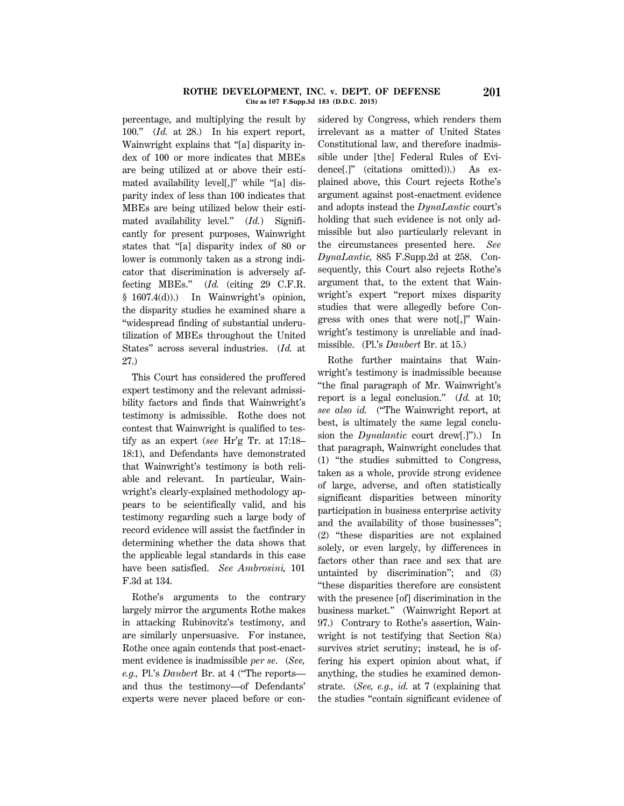#### **ROTHE DEVELOPMENT, INC. v. DEPT. OF DEFENSE 201 Cite as 107 F.Supp.3d 183 (D.D.C. 2015)**

percentage, and multiplying the result by 100.'' (*Id.* at 28.) In his expert report, Wainwright explains that ''[a] disparity index of 100 or more indicates that MBEs are being utilized at or above their estimated availability level[,]'' while ''[a] disparity index of less than 100 indicates that MBEs are being utilized below their estimated availability level.'' (*Id.*) Significantly for present purposes, Wainwright states that ''[a] disparity index of 80 or lower is commonly taken as a strong indicator that discrimination is adversely affecting MBEs.'' (*Id.* (citing 29 C.F.R. § 1607.4(d)).) In Wainwright's opinion, the disparity studies he examined share a ''widespread finding of substantial underutilization of MBEs throughout the United States'' across several industries. (*Id.* at 27.)

This Court has considered the proffered expert testimony and the relevant admissibility factors and finds that Wainwright's testimony is admissible. Rothe does not contest that Wainwright is qualified to testify as an expert (*see* Hr'g Tr. at 17:18– 18:1), and Defendants have demonstrated that Wainwright's testimony is both reliable and relevant. In particular, Wainwright's clearly-explained methodology appears to be scientifically valid, and his testimony regarding such a large body of record evidence will assist the factfinder in determining whether the data shows that the applicable legal standards in this case have been satisfied. *See Ambrosini,* 101 F.3d at 134.

Rothe's arguments to the contrary largely mirror the arguments Rothe makes in attacking Rubinovitz's testimony, and are similarly unpersuasive. For instance, Rothe once again contends that post-enactment evidence is inadmissible *per se*. (*See, e.g.,* Pl.'s *Daubert* Br. at 4 (''The reports and thus the testimony—of Defendants' experts were never placed before or considered by Congress, which renders them irrelevant as a matter of United States Constitutional law, and therefore inadmissible under [the] Federal Rules of Evidence[.]'' (citations omitted)).) As explained above, this Court rejects Rothe's argument against post-enactment evidence and adopts instead the *DynaLantic* court's holding that such evidence is not only admissible but also particularly relevant in the circumstances presented here. *See DynaLantic,* 885 F.Supp.2d at 258. Consequently, this Court also rejects Rothe's argument that, to the extent that Wainwright's expert ''report mixes disparity studies that were allegedly before Congress with ones that were not[,]'' Wainwright's testimony is unreliable and inadmissible. (Pl.'s *Daubert* Br. at 15.)

Rothe further maintains that Wainwright's testimony is inadmissible because ''the final paragraph of Mr. Wainwright's report is a legal conclusion.'' (*Id.* at 10; *see also id.* (''The Wainwright report, at best, is ultimately the same legal conclusion the *Dynalantic* court drew[.]'').) In that paragraph, Wainwright concludes that (1) ''the studies submitted to Congress, taken as a whole, provide strong evidence of large, adverse, and often statistically significant disparities between minority participation in business enterprise activity and the availability of those businesses''; (2) ''these disparities are not explained solely, or even largely, by differences in factors other than race and sex that are untainted by discrimination''; and (3) ''these disparities therefore are consistent with the presence [of] discrimination in the business market.'' (Wainwright Report at 97.) Contrary to Rothe's assertion, Wainwright is not testifying that Section 8(a) survives strict scrutiny; instead, he is offering his expert opinion about what, if anything, the studies he examined demonstrate. (*See, e.g., id.* at 7 (explaining that the studies ''contain significant evidence of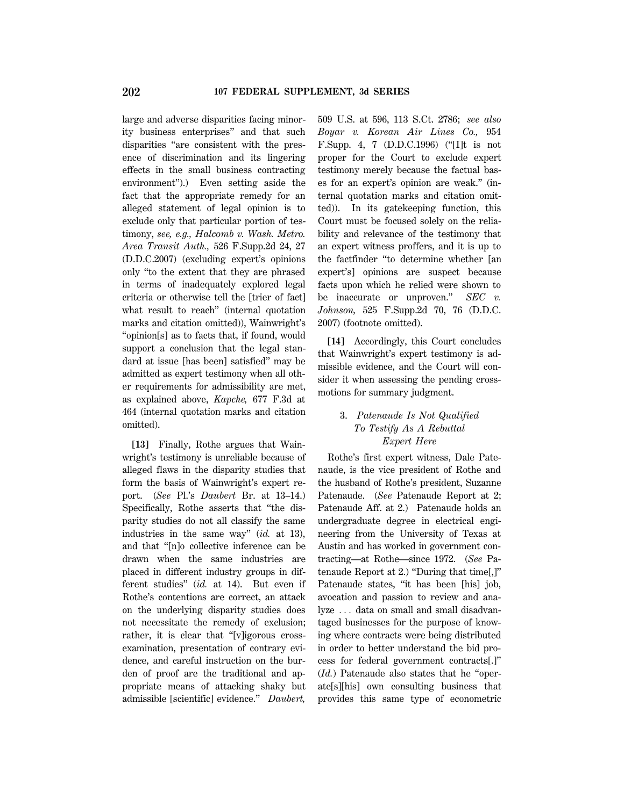large and adverse disparities facing minority business enterprises'' and that such disparities ''are consistent with the presence of discrimination and its lingering effects in the small business contracting environment'').) Even setting aside the fact that the appropriate remedy for an alleged statement of legal opinion is to exclude only that particular portion of testimony, *see, e.g., Halcomb v. Wash. Metro. Area Transit Auth.,* 526 F.Supp.2d 24, 27 (D.D.C.2007) (excluding expert's opinions only ''to the extent that they are phrased in terms of inadequately explored legal criteria or otherwise tell the [trier of fact] what result to reach'' (internal quotation marks and citation omitted)), Wainwright's ''opinion[s] as to facts that, if found, would support a conclusion that the legal standard at issue [has been] satisfied'' may be admitted as expert testimony when all other requirements for admissibility are met, as explained above, *Kapche,* 677 F.3d at 464 (internal quotation marks and citation omitted).

**[13]** Finally, Rothe argues that Wainwright's testimony is unreliable because of alleged flaws in the disparity studies that form the basis of Wainwright's expert report. (*See* Pl.'s *Daubert* Br. at 13–14.) Specifically, Rothe asserts that ''the disparity studies do not all classify the same industries in the same way'' (*id.* at 13), and that ''[n]o collective inference can be drawn when the same industries are placed in different industry groups in different studies'' (*id.* at 14). But even if Rothe's contentions are correct, an attack on the underlying disparity studies does not necessitate the remedy of exclusion; rather, it is clear that "[v]igorous crossexamination, presentation of contrary evidence, and careful instruction on the burden of proof are the traditional and appropriate means of attacking shaky but admissible [scientific] evidence.'' *Daubert,*

509 U.S. at 596, 113 S.Ct. 2786; *see also Boyar v. Korean Air Lines Co.,* 954 F.Supp. 4, 7 (D.D.C.1996) ("[I]t is not proper for the Court to exclude expert testimony merely because the factual bases for an expert's opinion are weak.'' (internal quotation marks and citation omitted)). In its gatekeeping function, this Court must be focused solely on the reliability and relevance of the testimony that an expert witness proffers, and it is up to the factfinder ''to determine whether [an expert's] opinions are suspect because facts upon which he relied were shown to be inaccurate or unproven.'' *SEC v. Johnson,* 525 F.Supp.2d 70, 76 (D.D.C. 2007) (footnote omitted).

**[14]** Accordingly, this Court concludes that Wainwright's expert testimony is admissible evidence, and the Court will consider it when assessing the pending crossmotions for summary judgment.

# 3. *Patenaude Is Not Qualified To Testify As A Rebuttal Expert Here*

Rothe's first expert witness, Dale Patenaude, is the vice president of Rothe and the husband of Rothe's president, Suzanne Patenaude. (*See* Patenaude Report at 2; Patenaude Aff. at 2.) Patenaude holds an undergraduate degree in electrical engineering from the University of Texas at Austin and has worked in government contracting—at Rothe—since 1972. (*See* Patenaude Report at 2.) ''During that time[,]'' Patenaude states, "it has been [his] job, avocation and passion to review and analyze ... data on small and small disadvantaged businesses for the purpose of knowing where contracts were being distributed in order to better understand the bid process for federal government contracts[.]'' (*Id.*) Patenaude also states that he ''operate[s][his] own consulting business that provides this same type of econometric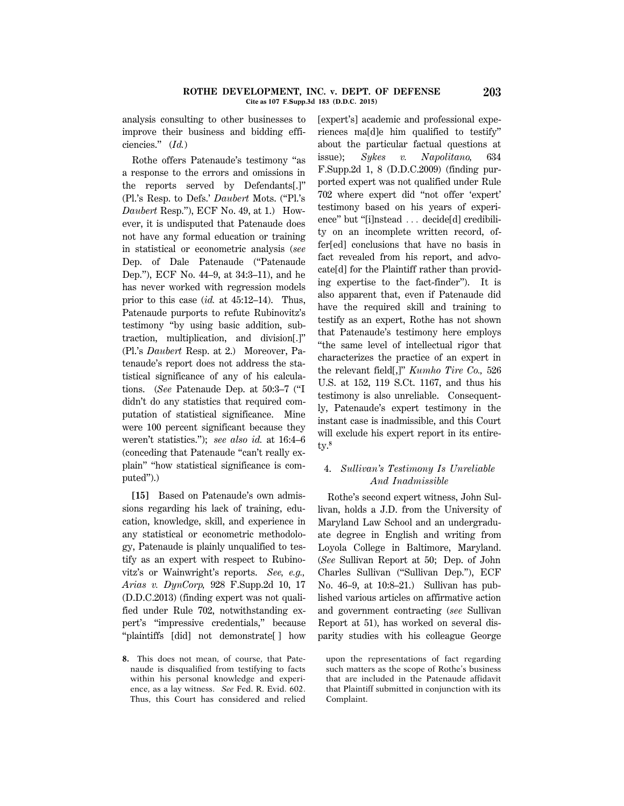#### **ROTHE DEVELOPMENT, INC. v. DEPT. OF DEFENSE 203 Cite as 107 F.Supp.3d 183 (D.D.C. 2015)**

analysis consulting to other businesses to improve their business and bidding efficiencies.'' (*Id.*)

Rothe offers Patenaude's testimony ''as a response to the errors and omissions in the reports served by Defendants[.]'' (Pl.'s Resp. to Defs.' *Daubert* Mots. (''Pl.'s *Daubert* Resp.''), ECF No. 49, at 1.) However, it is undisputed that Patenaude does not have any formal education or training in statistical or econometric analysis (*see* Dep. of Dale Patenaude ("Patenaude Dep.''), ECF No. 44–9, at 34:3–11), and he has never worked with regression models prior to this case (*id.* at 45:12–14). Thus, Patenaude purports to refute Rubinovitz's testimony ''by using basic addition, subtraction, multiplication, and division[.]'' (Pl.'s *Daubert* Resp. at 2.) Moreover, Patenaude's report does not address the statistical significance of any of his calculations. (*See* Patenaude Dep. at 50:3–7 (''I didn't do any statistics that required computation of statistical significance. Mine were 100 percent significant because they weren't statistics.''); *see also id.* at 16:4–6 (conceding that Patenaude ''can't really explain" "how statistical significance is computed'').)

**[15]** Based on Patenaude's own admissions regarding his lack of training, education, knowledge, skill, and experience in any statistical or econometric methodology, Patenaude is plainly unqualified to testify as an expert with respect to Rubinovitz's or Wainwright's reports. *See, e.g., Arias v. DynCorp,* 928 F.Supp.2d 10, 17 (D.D.C.2013) (finding expert was not qualified under Rule 702, notwithstanding expert's ''impressive credentials,'' because ''plaintiffs [did] not demonstrate[ ] how [expert's] academic and professional experiences ma[d]e him qualified to testify'' about the particular factual questions at issue); *Sykes v. Napolitano,* 634 F.Supp.2d 1, 8 (D.D.C.2009) (finding purported expert was not qualified under Rule 702 where expert did ''not offer 'expert' testimony based on his years of experience" but "[i]nstead ... decide[d] credibility on an incomplete written record, offer[ed] conclusions that have no basis in fact revealed from his report, and advocate[d] for the Plaintiff rather than providing expertise to the fact-finder''). It is also apparent that, even if Patenaude did have the required skill and training to testify as an expert, Rothe has not shown that Patenaude's testimony here employs ''the same level of intellectual rigor that characterizes the practice of an expert in the relevant field[,]'' *Kumho Tire Co.,* 526 U.S. at 152, 119 S.Ct. 1167, and thus his testimony is also unreliable. Consequently, Patenaude's expert testimony in the instant case is inadmissible, and this Court will exclude his expert report in its entirety.**<sup>8</sup>**

# 4. *Sullivan's Testimony Is Unreliable And Inadmissible*

Rothe's second expert witness, John Sullivan, holds a J.D. from the University of Maryland Law School and an undergraduate degree in English and writing from Loyola College in Baltimore, Maryland. (*See* Sullivan Report at 50; Dep. of John Charles Sullivan (''Sullivan Dep.''), ECF No. 46–9, at 10:8–21.) Sullivan has published various articles on affirmative action and government contracting (*see* Sullivan Report at 51), has worked on several disparity studies with his colleague George

upon the representations of fact regarding such matters as the scope of Rothe's business that are included in the Patenaude affidavit that Plaintiff submitted in conjunction with its Complaint.

**<sup>8.</sup>** This does not mean, of course, that Patenaude is disqualified from testifying to facts within his personal knowledge and experience, as a lay witness. *See* Fed. R. Evid. 602. Thus, this Court has considered and relied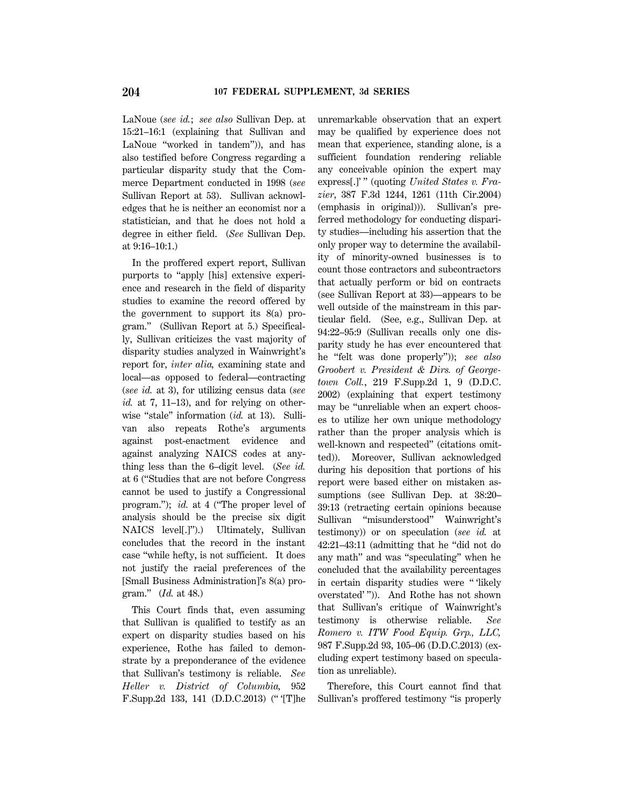LaNoue (*see id.*; *see also* Sullivan Dep. at 15:21–16:1 (explaining that Sullivan and LaNoue "worked in tandem"), and has also testified before Congress regarding a particular disparity study that the Commerce Department conducted in 1998 (*see* Sullivan Report at 53). Sullivan acknowledges that he is neither an economist nor a statistician, and that he does not hold a degree in either field. (*See* Sullivan Dep. at 9:16–10:1.)

In the proffered expert report, Sullivan purports to ''apply [his] extensive experience and research in the field of disparity studies to examine the record offered by the government to support its 8(a) program.'' (Sullivan Report at 5.) Specifically, Sullivan criticizes the vast majority of disparity studies analyzed in Wainwright's report for, *inter alia,* examining state and local—as opposed to federal—contracting (*see id.* at 3), for utilizing census data (*see id.* at 7, 11–13), and for relying on otherwise "stale" information (*id.* at 13). Sullivan also repeats Rothe's arguments against post-enactment evidence and against analyzing NAICS codes at anything less than the 6–digit level. (*See id.* at 6 (''Studies that are not before Congress cannot be used to justify a Congressional program."); *id.* at 4 ("The proper level of analysis should be the precise six digit NAICS level[.]'').) Ultimately, Sullivan concludes that the record in the instant case ''while hefty, is not sufficient. It does not justify the racial preferences of the [Small Business Administration]'s 8(a) program.'' (*Id.* at 48.)

This Court finds that, even assuming that Sullivan is qualified to testify as an expert on disparity studies based on his experience, Rothe has failed to demonstrate by a preponderance of the evidence that Sullivan's testimony is reliable. *See Heller v. District of Columbia,* 952 F.Supp.2d 133, 141 (D.D.C.2013) ('' '[T]he unremarkable observation that an expert may be qualified by experience does not mean that experience, standing alone, is a sufficient foundation rendering reliable any conceivable opinion the expert may express[.]' '' (quoting *United States v. Frazier*, 387 F.3d 1244, 1261 (11th Cir.2004) (emphasis in original))). Sullivan's preferred methodology for conducting disparity studies—including his assertion that the only proper way to determine the availability of minority-owned businesses is to count those contractors and subcontractors that actually perform or bid on contracts (see Sullivan Report at 33)—appears to be well outside of the mainstream in this particular field. (See, e.g., Sullivan Dep. at 94:22–95:9 (Sullivan recalls only one disparity study he has ever encountered that he ''felt was done properly'')); *see also Groobert v. President & Dirs. of Georgetown Coll.*, 219 F.Supp.2d 1, 9 (D.D.C. 2002) (explaining that expert testimony may be "unreliable when an expert chooses to utilize her own unique methodology rather than the proper analysis which is well-known and respected'' (citations omitted)). Moreover, Sullivan acknowledged during his deposition that portions of his report were based either on mistaken assumptions (see Sullivan Dep. at 38:20– 39:13 (retracting certain opinions because Sullivan ''misunderstood'' Wainwright's testimony)) or on speculation (*see id.* at 42:21–43:11 (admitting that he ''did not do any math'' and was ''speculating'' when he concluded that the availability percentages in certain disparity studies were '' 'likely overstated' '')). And Rothe has not shown that Sullivan's critique of Wainwright's testimony is otherwise reliable. *See Romero v. ITW Food Equip. Grp., LLC,* 987 F.Supp.2d 93, 105–06 (D.D.C.2013) (excluding expert testimony based on speculation as unreliable).

Therefore, this Court cannot find that Sullivan's proffered testimony ''is properly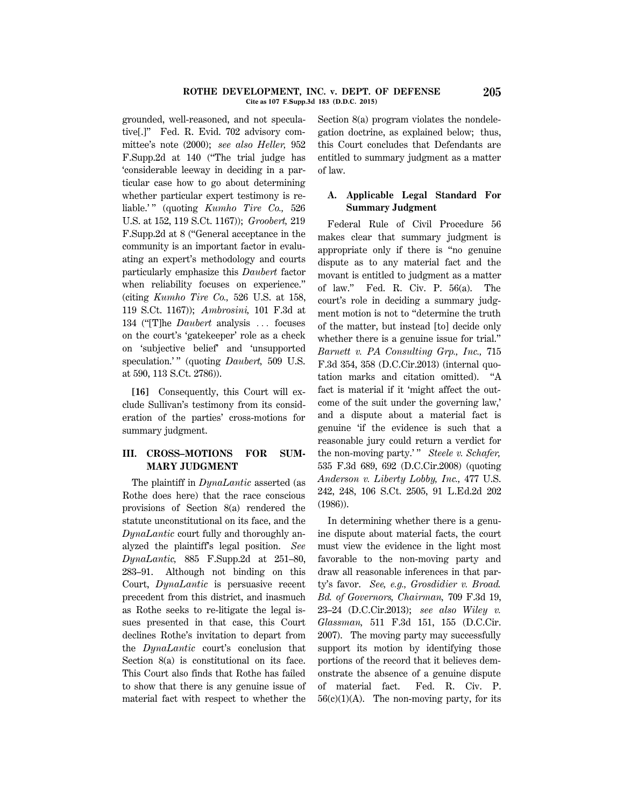#### **ROTHE DEVELOPMENT, INC. v. DEPT. OF DEFENSE 205 Cite as 107 F.Supp.3d 183 (D.D.C. 2015)**

grounded, well-reasoned, and not speculative[.]'' Fed. R. Evid. 702 advisory committee's note (2000); *see also Heller,* 952 F.Supp.2d at 140 (''The trial judge has 'considerable leeway in deciding in a particular case how to go about determining whether particular expert testimony is reliable.'" (quoting *Kumho Tire Co.*, 526 U.S. at 152, 119 S.Ct. 1167)); *Groobert,* 219 F.Supp.2d at 8 (''General acceptance in the community is an important factor in evaluating an expert's methodology and courts particularly emphasize this *Daubert* factor when reliability focuses on experience.'' (citing *Kumho Tire Co.,* 526 U.S. at 158, 119 S.Ct. 1167)); *Ambrosini,* 101 F.3d at 134 ("[T]he *Daubert* analysis ... focuses on the court's 'gatekeeper' role as a check on 'subjective belief' and 'unsupported speculation.'" (quoting *Daubert*, 509 U.S. at 590, 113 S.Ct. 2786)).

**[16]** Consequently, this Court will exclude Sullivan's testimony from its consideration of the parties' cross-motions for summary judgment.

# **III. CROSS–MOTIONS FOR SUM-MARY JUDGMENT**

The plaintiff in *DynaLantic* asserted (as Rothe does here) that the race conscious provisions of Section 8(a) rendered the statute unconstitutional on its face, and the *DynaLantic* court fully and thoroughly analyzed the plaintiff's legal position. *See DynaLantic,* 885 F.Supp.2d at 251–80, 283–91. Although not binding on this Court, *DynaLantic* is persuasive recent precedent from this district, and inasmuch as Rothe seeks to re-litigate the legal issues presented in that case, this Court declines Rothe's invitation to depart from the *DynaLantic* court's conclusion that Section 8(a) is constitutional on its face. This Court also finds that Rothe has failed to show that there is any genuine issue of material fact with respect to whether the Section 8(a) program violates the nondelegation doctrine, as explained below; thus, this Court concludes that Defendants are entitled to summary judgment as a matter of law.

# **A. Applicable Legal Standard For Summary Judgment**

Federal Rule of Civil Procedure 56 makes clear that summary judgment is appropriate only if there is ''no genuine dispute as to any material fact and the movant is entitled to judgment as a matter of law.'' Fed. R. Civ. P. 56(a). The court's role in deciding a summary judgment motion is not to ''determine the truth of the matter, but instead [to] decide only whether there is a genuine issue for trial.'' *Barnett v. PA Consulting Grp., Inc.,* 715 F.3d 354, 358 (D.C.Cir.2013) (internal quotation marks and citation omitted). ''A fact is material if it 'might affect the outcome of the suit under the governing law,' and a dispute about a material fact is genuine 'if the evidence is such that a reasonable jury could return a verdict for the non-moving party.'" *Steele v. Schafer*, 535 F.3d 689, 692 (D.C.Cir.2008) (quoting *Anderson v. Liberty Lobby, Inc.,* 477 U.S. 242, 248, 106 S.Ct. 2505, 91 L.Ed.2d 202 (1986)).

In determining whether there is a genuine dispute about material facts, the court must view the evidence in the light most favorable to the non-moving party and draw all reasonable inferences in that party's favor. *See, e.g., Grosdidier v. Broad. Bd. of Governors, Chairman,* 709 F.3d 19, 23–24 (D.C.Cir.2013); *see also Wiley v. Glassman,* 511 F.3d 151, 155 (D.C.Cir. 2007). The moving party may successfully support its motion by identifying those portions of the record that it believes demonstrate the absence of a genuine dispute of material fact. Fed. R. Civ. P.  $56(c)(1)(A)$ . The non-moving party, for its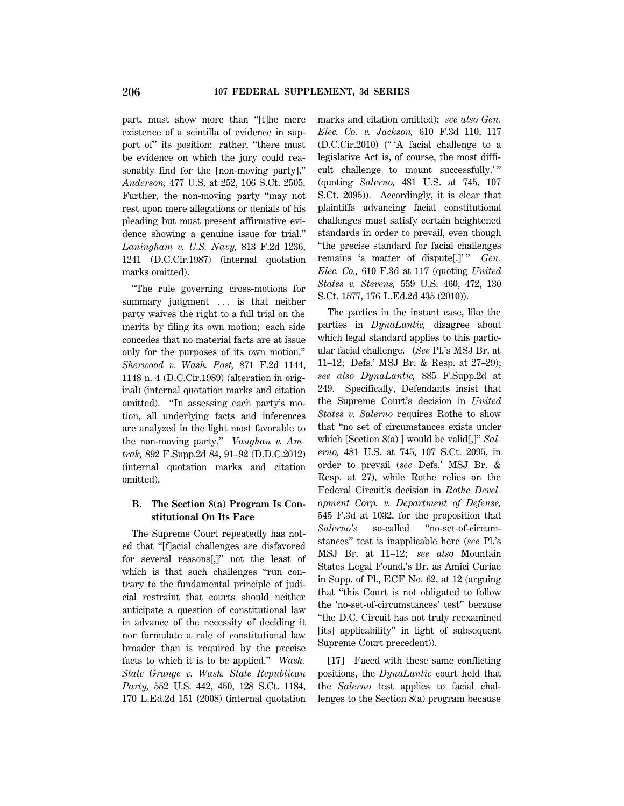part, must show more than ''[t]he mere existence of a scintilla of evidence in support of'' its position; rather, ''there must be evidence on which the jury could reasonably find for the [non-moving party].'' *Anderson,* 477 U.S. at 252, 106 S.Ct. 2505. Further, the non-moving party ''may not rest upon mere allegations or denials of his pleading but must present affirmative evidence showing a genuine issue for trial.'' *Laningham v. U.S. Navy,* 813 F.2d 1236, 1241 (D.C.Cir.1987) (internal quotation marks omitted).

''The rule governing cross-motions for summary judgment ... is that neither party waives the right to a full trial on the merits by filing its own motion; each side concedes that no material facts are at issue only for the purposes of its own motion.'' *Sherwood v. Wash. Post,* 871 F.2d 1144, 1148 n. 4 (D.C.Cir.1989) (alteration in original) (internal quotation marks and citation omitted). ''In assessing each party's motion, all underlying facts and inferences are analyzed in the light most favorable to the non-moving party.'' *Vaughan v. Amtrak,* 892 F.Supp.2d 84, 91–92 (D.D.C.2012) (internal quotation marks and citation omitted).

# **B. The Section 8(a) Program Is Constitutional On Its Face**

The Supreme Court repeatedly has noted that ''[f]acial challenges are disfavored for several reasons[,]'' not the least of which is that such challenges "run contrary to the fundamental principle of judicial restraint that courts should neither anticipate a question of constitutional law in advance of the necessity of deciding it nor formulate a rule of constitutional law broader than is required by the precise facts to which it is to be applied.'' *Wash. State Grange v. Wash. State Republican Party,* 552 U.S. 442, 450, 128 S.Ct. 1184, 170 L.Ed.2d 151 (2008) (internal quotation marks and citation omitted); *see also Gen. Elec. Co. v. Jackson,* 610 F.3d 110, 117 (D.C.Cir.2010) ('' 'A facial challenge to a legislative Act is, of course, the most difficult challenge to mount successfully.'" (quoting *Salerno,* 481 U.S. at 745, 107 S.Ct. 2095)). Accordingly, it is clear that plaintiffs advancing facial constitutional challenges must satisfy certain heightened standards in order to prevail, even though ''the precise standard for facial challenges remains 'a matter of dispute[.]' '' *Gen. Elec. Co.,* 610 F.3d at 117 (quoting *United States v. Stevens,* 559 U.S. 460, 472, 130 S.Ct. 1577, 176 L.Ed.2d 435 (2010)).

The parties in the instant case, like the parties in *DynaLantic,* disagree about which legal standard applies to this particular facial challenge. (*See* Pl.'s MSJ Br. at 11–12; Defs.' MSJ Br. & Resp. at 27–29); *see also DynaLantic,* 885 F.Supp.2d at 249. Specifically, Defendants insist that the Supreme Court's decision in *United States v. Salerno* requires Rothe to show that ''no set of circumstances exists under which [Section 8(a) ] would be valid[,]'' *Salerno,* 481 U.S. at 745, 107 S.Ct. 2095, in order to prevail (*see* Defs.' MSJ Br. & Resp. at 27), while Rothe relies on the Federal Circuit's decision in *Rothe Development Corp. v. Department of Defense,* 545 F.3d at 1032, for the proposition that *Salerno's* so-called ''no-set-of-circumstances'' test is inapplicable here (*see* Pl.'s MSJ Br. at 11–12; *see also* Mountain States Legal Found.'s Br. as Amici Curiae in Supp. of Pl., ECF No. 62, at 12 (arguing that ''this Court is not obligated to follow the 'no-set-of-circumstances' test'' because ''the D.C. Circuit has not truly reexamined [its] applicability'' in light of subsequent Supreme Court precedent)).

**[17]** Faced with these same conflicting positions, the *DynaLantic* court held that the *Salerno* test applies to facial challenges to the Section 8(a) program because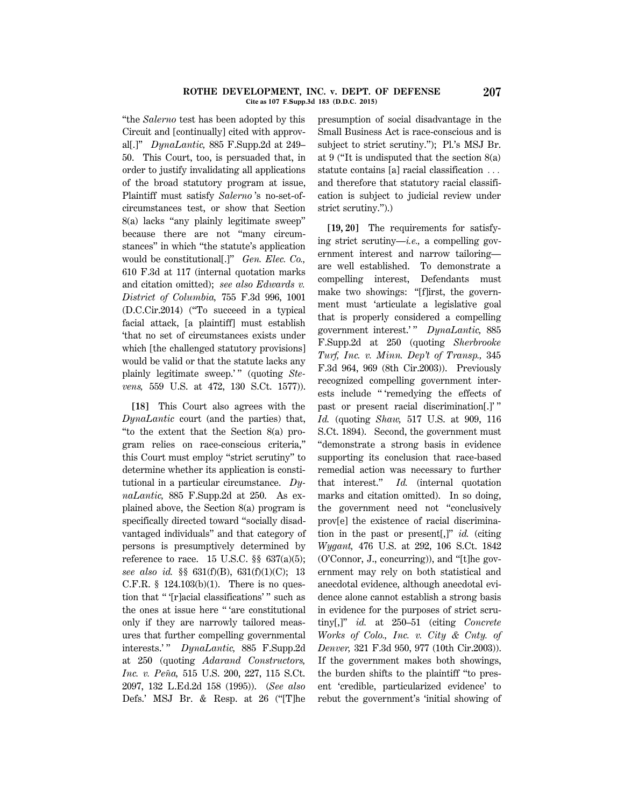#### **ROTHE DEVELOPMENT, INC. v. DEPT. OF DEFENSE 207 Cite as 107 F.Supp.3d 183 (D.D.C. 2015)**

''the *Salerno* test has been adopted by this Circuit and [continually] cited with approval[.]'' *DynaLantic,* 885 F.Supp.2d at 249– 50. This Court, too, is persuaded that, in order to justify invalidating all applications of the broad statutory program at issue, Plaintiff must satisfy *Salerno* 's no-set-ofcircumstances test, or show that Section 8(a) lacks ''any plainly legitimate sweep'' because there are not ''many circumstances'' in which ''the statute's application would be constitutional[.]'' *Gen. Elec. Co.,* 610 F.3d at 117 (internal quotation marks and citation omitted); *see also Edwards v. District of Columbia,* 755 F.3d 996, 1001 (D.C.Cir.2014) (''To succeed in a typical facial attack, [a plaintiff] must establish 'that no set of circumstances exists under which [the challenged statutory provisions] would be valid or that the statute lacks any plainly legitimate sweep.'" (quoting *Stevens,* 559 U.S. at 472, 130 S.Ct. 1577)).

**[18]** This Court also agrees with the *DynaLantic* court (and the parties) that, ''to the extent that the Section 8(a) program relies on race-conscious criteria,'' this Court must employ ''strict scrutiny'' to determine whether its application is constitutional in a particular circumstance. *DynaLantic,* 885 F.Supp.2d at 250. As explained above, the Section 8(a) program is specifically directed toward ''socially disadvantaged individuals'' and that category of persons is presumptively determined by reference to race. 15 U.S.C.  $\S$  637(a)(5); *see also id.* §§ 631(f)(B), 631(f)(1)(C); 13 C.F.R.  $\S$  124.103(b)(1). There is no question that '' '[r]acial classifications' '' such as the ones at issue here '' 'are constitutional only if they are narrowly tailored measures that further compelling governmental interests.' '' *DynaLantic,* 885 F.Supp.2d at 250 (quoting *Adarand Constructors, Inc. v. Peña*, 515 U.S. 200, 227, 115 S.Ct. 2097, 132 L.Ed.2d 158 (1995)). (*See also* Defs.' MSJ Br. & Resp. at 26 ("[T]he presumption of social disadvantage in the Small Business Act is race-conscious and is subject to strict scrutiny.''); Pl.'s MSJ Br. at 9 (''It is undisputed that the section 8(a) statute contains [a] racial classification  $\ldots$ and therefore that statutory racial classification is subject to judicial review under strict scrutiny.'').)

**[19, 20]** The requirements for satisfying strict scrutiny—*i.e.,* a compelling government interest and narrow tailoring are well established. To demonstrate a compelling interest, Defendants must make two showings: "[f]irst, the government must 'articulate a legislative goal that is properly considered a compelling government interest.'" DynaLantic, 885 F.Supp.2d at 250 (quoting *Sherbrooke Turf, Inc. v. Minn. Dep't of Transp.,* 345 F.3d 964, 969 (8th Cir.2003)). Previously recognized compelling government interests include '' 'remedying the effects of past or present racial discrimination[.]' '' *Id.* (quoting *Shaw,* 517 U.S. at 909, 116 S.Ct. 1894). Second, the government must ''demonstrate a strong basis in evidence supporting its conclusion that race-based remedial action was necessary to further that interest.'' *Id.* (internal quotation marks and citation omitted). In so doing, the government need not ''conclusively prov[e] the existence of racial discrimination in the past or present[,]'' *id.* (citing *Wygant,* 476 U.S. at 292, 106 S.Ct. 1842 (O'Connor, J., concurring)), and ''[t]he government may rely on both statistical and anecdotal evidence, although anecdotal evidence alone cannot establish a strong basis in evidence for the purposes of strict scrutiny[,]'' *id.* at 250–51 (citing *Concrete Works of Colo., Inc. v. City & Cnty. of Denver,* 321 F.3d 950, 977 (10th Cir.2003)). If the government makes both showings, the burden shifts to the plaintiff ''to present 'credible, particularized evidence' to rebut the government's 'initial showing of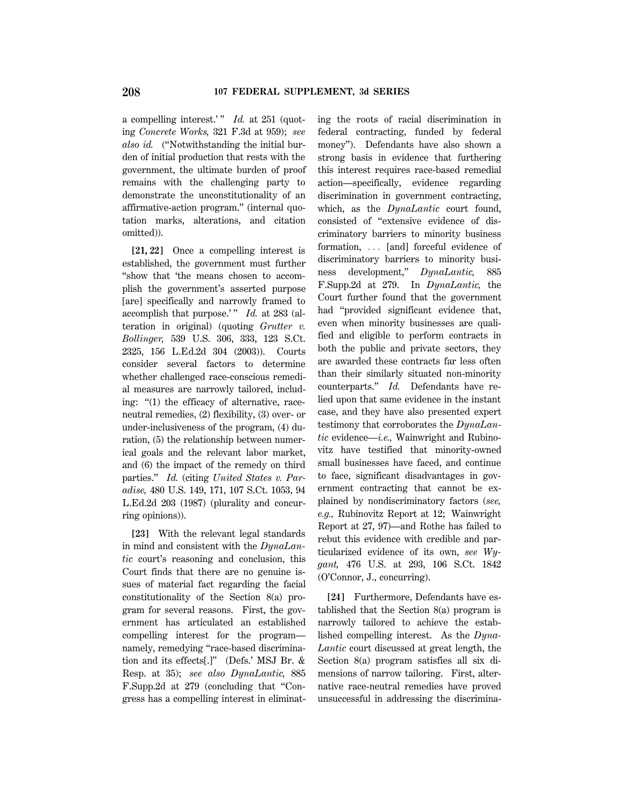a compelling interest.'" *Id.* at 251 (quoting *Concrete Works,* 321 F.3d at 959); *see also id.* (''Notwithstanding the initial burden of initial production that rests with the government, the ultimate burden of proof remains with the challenging party to demonstrate the unconstitutionality of an affirmative-action program.'' (internal quotation marks, alterations, and citation omitted)).

**[21, 22]** Once a compelling interest is established, the government must further ''show that 'the means chosen to accomplish the government's asserted purpose [are] specifically and narrowly framed to accomplish that purpose.'" *Id.* at 283 (alteration in original) (quoting *Grutter v. Bollinger,* 539 U.S. 306, 333, 123 S.Ct. 2325, 156 L.Ed.2d 304 (2003)). Courts consider several factors to determine whether challenged race-conscious remedial measures are narrowly tailored, including: ''(1) the efficacy of alternative, raceneutral remedies, (2) flexibility, (3) over- or under-inclusiveness of the program, (4) duration, (5) the relationship between numerical goals and the relevant labor market, and (6) the impact of the remedy on third parties.'' *Id.* (citing *United States v. Paradise,* 480 U.S. 149, 171, 107 S.Ct. 1053, 94 L.Ed.2d 203 (1987) (plurality and concurring opinions)).

**[23]** With the relevant legal standards in mind and consistent with the *DynaLantic* court's reasoning and conclusion, this Court finds that there are no genuine issues of material fact regarding the facial constitutionality of the Section 8(a) program for several reasons. First, the government has articulated an established compelling interest for the program namely, remedying "race-based discrimination and its effects[.]'' (Defs.' MSJ Br. & Resp. at 35); *see also DynaLantic,* 885 F.Supp.2d at 279 (concluding that ''Congress has a compelling interest in eliminating the roots of racial discrimination in federal contracting, funded by federal money''). Defendants have also shown a strong basis in evidence that furthering this interest requires race-based remedial action—specifically, evidence regarding discrimination in government contracting, which, as the *DynaLantic* court found, consisted of ''extensive evidence of discriminatory barriers to minority business formation,  $\ldots$  [and] forceful evidence of discriminatory barriers to minority business development,'' *DynaLantic,* 885 F.Supp.2d at 279. In *DynaLantic,* the Court further found that the government had ''provided significant evidence that, even when minority businesses are qualified and eligible to perform contracts in both the public and private sectors, they are awarded these contracts far less often than their similarly situated non-minority counterparts.'' *Id.* Defendants have relied upon that same evidence in the instant case, and they have also presented expert testimony that corroborates the *DynaLantic* evidence—*i.e.,* Wainwright and Rubinovitz have testified that minority-owned small businesses have faced, and continue to face, significant disadvantages in government contracting that cannot be explained by nondiscriminatory factors (*see, e.g.,* Rubinovitz Report at 12; Wainwright Report at 27, 97)—and Rothe has failed to rebut this evidence with credible and particularized evidence of its own, *see Wygant,* 476 U.S. at 293, 106 S.Ct. 1842 (O'Connor, J., concurring).

**[24]** Furthermore, Defendants have established that the Section 8(a) program is narrowly tailored to achieve the established compelling interest. As the *Dyna-Lantic* court discussed at great length, the Section 8(a) program satisfies all six dimensions of narrow tailoring. First, alternative race-neutral remedies have proved unsuccessful in addressing the discrimina-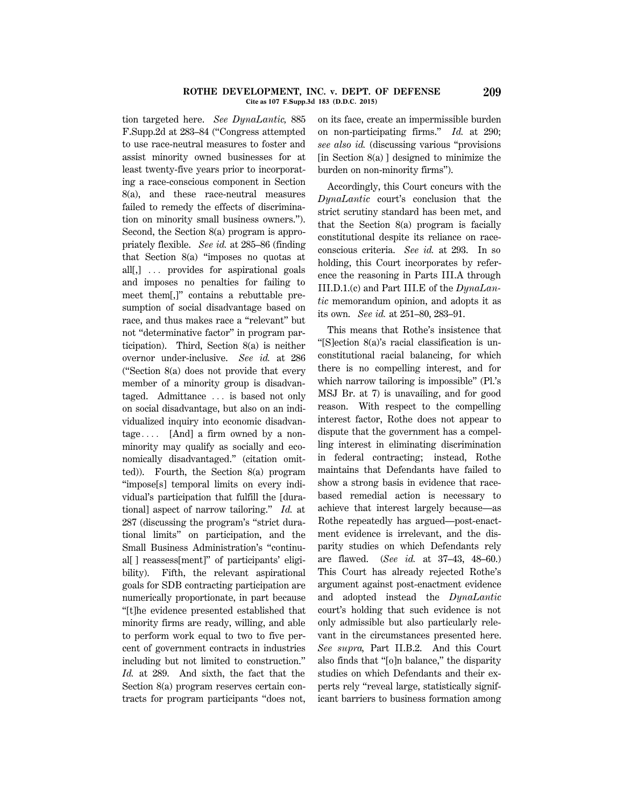#### **ROTHE DEVELOPMENT, INC. v. DEPT. OF DEFENSE 209 Cite as 107 F.Supp.3d 183 (D.D.C. 2015)**

tion targeted here. *See DynaLantic,* 885 F.Supp.2d at 283–84 (''Congress attempted to use race-neutral measures to foster and assist minority owned businesses for at least twenty-five years prior to incorporating a race-conscious component in Section 8(a), and these race-neutral measures failed to remedy the effects of discrimination on minority small business owners.''). Second, the Section 8(a) program is appropriately flexible. *See id.* at 285–86 (finding that Section 8(a) ''imposes no quotas at all, $\vert$   $\ldots$  provides for aspirational goals and imposes no penalties for failing to meet them[,]'' contains a rebuttable presumption of social disadvantage based on race, and thus makes race a ''relevant'' but not ''determinative factor'' in program participation). Third, Section 8(a) is neither overnor under-inclusive. *See id.* at 286 (''Section 8(a) does not provide that every member of a minority group is disadvantaged. Admittance ... is based not only on social disadvantage, but also on an individualized inquiry into economic disadvan $tage...$  [And] a firm owned by a nonminority may qualify as socially and economically disadvantaged.'' (citation omitted)). Fourth, the Section 8(a) program ''impose[s] temporal limits on every individual's participation that fulfill the [durational] aspect of narrow tailoring.'' *Id.* at 287 (discussing the program's ''strict durational limits'' on participation, and the Small Business Administration's ''continual[ ] reassess[ment]'' of participants' eligibility). Fifth, the relevant aspirational goals for SDB contracting participation are numerically proportionate, in part because ''[t]he evidence presented established that minority firms are ready, willing, and able to perform work equal to two to five percent of government contracts in industries including but not limited to construction.'' *Id.* at 289. And sixth, the fact that the Section 8(a) program reserves certain contracts for program participants ''does not, on its face, create an impermissible burden on non-participating firms.'' *Id.* at 290; *see also id.* (discussing various ''provisions [in Section 8(a) ] designed to minimize the burden on non-minority firms'').

Accordingly, this Court concurs with the *DynaLantic* court's conclusion that the strict scrutiny standard has been met, and that the Section 8(a) program is facially constitutional despite its reliance on raceconscious criteria. *See id.* at 293. In so holding, this Court incorporates by reference the reasoning in Parts III.A through III.D.1.(c) and Part III.E of the *DynaLantic* memorandum opinion, and adopts it as its own. *See id.* at 251–80, 283–91.

This means that Rothe's insistence that ''[S]ection 8(a)'s racial classification is unconstitutional racial balancing, for which there is no compelling interest, and for which narrow tailoring is impossible'' (Pl.'s MSJ Br. at 7) is unavailing, and for good reason. With respect to the compelling interest factor, Rothe does not appear to dispute that the government has a compelling interest in eliminating discrimination in federal contracting; instead, Rothe maintains that Defendants have failed to show a strong basis in evidence that racebased remedial action is necessary to achieve that interest largely because—as Rothe repeatedly has argued—post-enactment evidence is irrelevant, and the disparity studies on which Defendants rely are flawed. (*See id.* at 37–43, 48–60.) This Court has already rejected Rothe's argument against post-enactment evidence and adopted instead the *DynaLantic* court's holding that such evidence is not only admissible but also particularly relevant in the circumstances presented here. *See supra,* Part II.B.2. And this Court also finds that ''[o]n balance,'' the disparity studies on which Defendants and their experts rely ''reveal large, statistically significant barriers to business formation among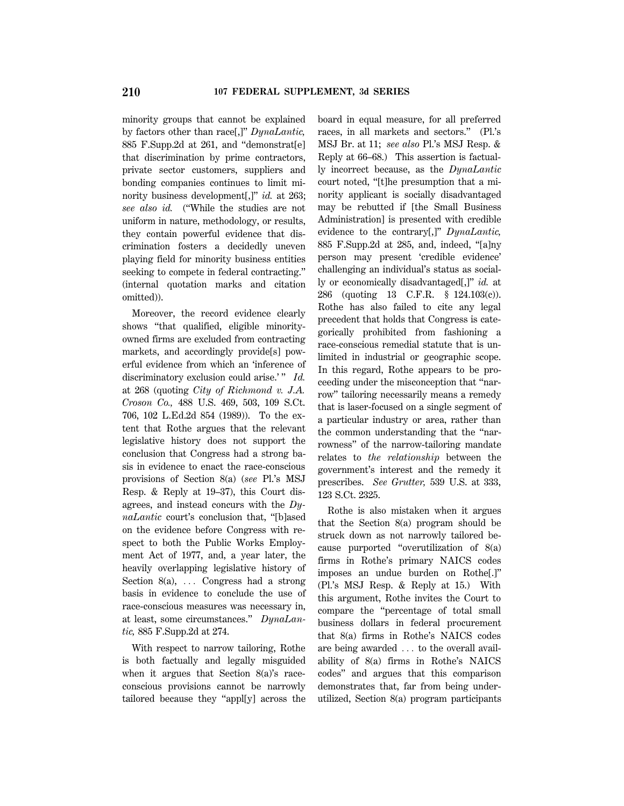minority groups that cannot be explained by factors other than race[,]'' *DynaLantic,* 885 F.Supp.2d at 261, and ''demonstrat[e] that discrimination by prime contractors, private sector customers, suppliers and bonding companies continues to limit minority business development[,]'' *id.* at 263; *see also id.* (''While the studies are not uniform in nature, methodology, or results, they contain powerful evidence that discrimination fosters a decidedly uneven playing field for minority business entities seeking to compete in federal contracting.'' (internal quotation marks and citation omitted)).

Moreover, the record evidence clearly shows ''that qualified, eligible minorityowned firms are excluded from contracting markets, and accordingly provide[s] powerful evidence from which an 'inference of discriminatory exclusion could arise.'" *Id.* at 268 (quoting *City of Richmond v. J.A. Croson Co.,* 488 U.S. 469, 503, 109 S.Ct. 706, 102 L.Ed.2d 854 (1989)). To the extent that Rothe argues that the relevant legislative history does not support the conclusion that Congress had a strong basis in evidence to enact the race-conscious provisions of Section 8(a) (*see* Pl.'s MSJ Resp. & Reply at 19–37), this Court disagrees, and instead concurs with the *DynaLantic* court's conclusion that, ''[b]ased on the evidence before Congress with respect to both the Public Works Employment Act of 1977, and, a year later, the heavily overlapping legislative history of Section  $8(a)$ , ... Congress had a strong basis in evidence to conclude the use of race-conscious measures was necessary in, at least, some circumstances.'' *DynaLantic,* 885 F.Supp.2d at 274.

With respect to narrow tailoring, Rothe is both factually and legally misguided when it argues that Section 8(a)'s raceconscious provisions cannot be narrowly tailored because they ''appl[y] across the board in equal measure, for all preferred races, in all markets and sectors.'' (Pl.'s MSJ Br. at 11; *see also* Pl.'s MSJ Resp. & Reply at 66–68.) This assertion is factually incorrect because, as the *DynaLantic* court noted, ''[t]he presumption that a minority applicant is socially disadvantaged may be rebutted if [the Small Business Administration] is presented with credible evidence to the contrary[,]'' *DynaLantic,* 885 F.Supp.2d at 285, and, indeed, ''[a]ny person may present 'credible evidence' challenging an individual's status as socially or economically disadvantaged[,]'' *id.* at 286 (quoting 13 C.F.R. § 124.103(c)). Rothe has also failed to cite any legal precedent that holds that Congress is categorically prohibited from fashioning a race-conscious remedial statute that is unlimited in industrial or geographic scope. In this regard, Rothe appears to be proceeding under the misconception that ''narrow'' tailoring necessarily means a remedy that is laser-focused on a single segment of a particular industry or area, rather than the common understanding that the ''narrowness'' of the narrow-tailoring mandate relates to *the relationship* between the government's interest and the remedy it prescribes. *See Grutter,* 539 U.S. at 333, 123 S.Ct. 2325.

Rothe is also mistaken when it argues that the Section 8(a) program should be struck down as not narrowly tailored because purported ''overutilization of 8(a) firms in Rothe's primary NAICS codes imposes an undue burden on Rothe[.]'' (Pl.'s MSJ Resp. & Reply at 15.) With this argument, Rothe invites the Court to compare the ''percentage of total small business dollars in federal procurement that 8(a) firms in Rothe's NAICS codes are being awarded  $\ldots$  to the overall availability of 8(a) firms in Rothe's NAICS codes'' and argues that this comparison demonstrates that, far from being underutilized, Section 8(a) program participants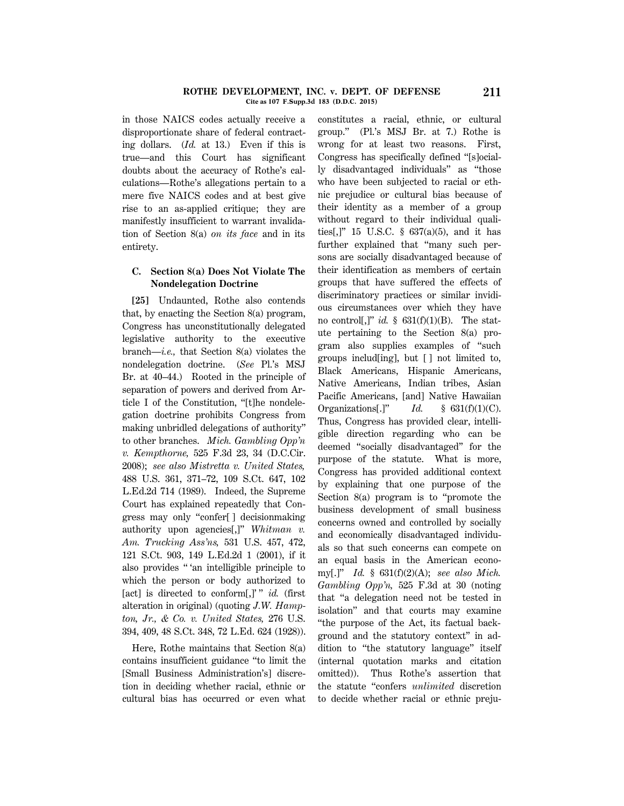#### **ROTHE DEVELOPMENT, INC. v. DEPT. OF DEFENSE 211 Cite as 107 F.Supp.3d 183 (D.D.C. 2015)**

in those NAICS codes actually receive a disproportionate share of federal contracting dollars. (*Id.* at 13.) Even if this is true—and this Court has significant doubts about the accuracy of Rothe's calculations—Rothe's allegations pertain to a mere five NAICS codes and at best give rise to an as-applied critique; they are manifestly insufficient to warrant invalidation of Section 8(a) *on its face* and in its entirety.

# **C. Section 8(a) Does Not Violate The Nondelegation Doctrine**

**[25]** Undaunted, Rothe also contends that, by enacting the Section 8(a) program, Congress has unconstitutionally delegated legislative authority to the executive branch—*i.e.,* that Section 8(a) violates the nondelegation doctrine. (*See* Pl.'s MSJ Br. at 40–44.) Rooted in the principle of separation of powers and derived from Article I of the Constitution, ''[t]he nondelegation doctrine prohibits Congress from making unbridled delegations of authority'' to other branches. *Mich. Gambling Opp'n v. Kempthorne,* 525 F.3d 23, 34 (D.C.Cir. 2008); *see also Mistretta v. United States,* 488 U.S. 361, 371–72, 109 S.Ct. 647, 102 L.Ed.2d 714 (1989). Indeed, the Supreme Court has explained repeatedly that Congress may only ''confer[ ] decisionmaking authority upon agencies[,]'' *Whitman v. Am. Trucking Ass'ns,* 531 U.S. 457, 472, 121 S.Ct. 903, 149 L.Ed.2d 1 (2001), if it also provides '' 'an intelligible principle to which the person or body authorized to [act] is directed to conform[,]'" *id.* (first alteration in original) (quoting *J.W. Hampton, Jr., & Co. v. United States,* 276 U.S. 394, 409, 48 S.Ct. 348, 72 L.Ed. 624 (1928)).

Here, Rothe maintains that Section 8(a) contains insufficient guidance ''to limit the [Small Business Administration's] discretion in deciding whether racial, ethnic or cultural bias has occurred or even what constitutes a racial, ethnic, or cultural group.'' (Pl.'s MSJ Br. at 7.) Rothe is wrong for at least two reasons. First, Congress has specifically defined ''[s]ocially disadvantaged individuals'' as ''those who have been subjected to racial or ethnic prejudice or cultural bias because of their identity as a member of a group without regard to their individual qualities[,]'' 15 U.S.C. § 637(a)(5), and it has further explained that "many such persons are socially disadvantaged because of their identification as members of certain groups that have suffered the effects of discriminatory practices or similar invidious circumstances over which they have no control[,]" *id.*  $\S$  631(f)(1)(B). The statute pertaining to the Section 8(a) program also supplies examples of ''such groups includ[ing], but [ ] not limited to, Black Americans, Hispanic Americans, Native Americans, Indian tribes, Asian Pacific Americans, [and] Native Hawaiian Organizations[.]'' *Id.* § 631(f)(1)(C). Thus, Congress has provided clear, intelligible direction regarding who can be deemed ''socially disadvantaged'' for the purpose of the statute. What is more, Congress has provided additional context by explaining that one purpose of the Section 8(a) program is to ''promote the business development of small business concerns owned and controlled by socially and economically disadvantaged individuals so that such concerns can compete on an equal basis in the American economy[.]'' *Id.* § 631(f)(2)(A); *see also Mich. Gambling Opp'n,* 525 F.3d at 30 (noting that ''a delegation need not be tested in isolation'' and that courts may examine ''the purpose of the Act, its factual background and the statutory context'' in addition to ''the statutory language'' itself (internal quotation marks and citation omitted)). Thus Rothe's assertion that the statute ''confers *unlimited* discretion to decide whether racial or ethnic preju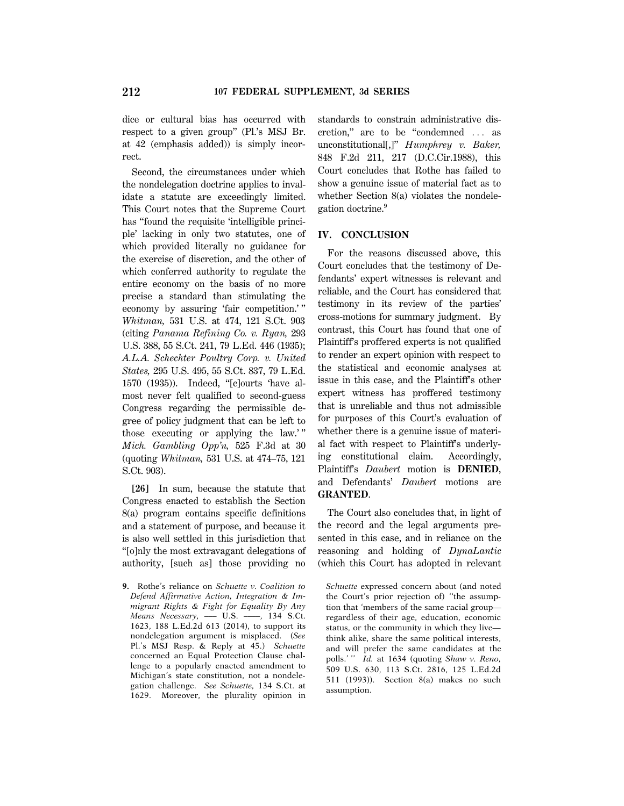dice or cultural bias has occurred with respect to a given group'' (Pl.'s MSJ Br. at 42 (emphasis added)) is simply incorrect.

Second, the circumstances under which the nondelegation doctrine applies to invalidate a statute are exceedingly limited. This Court notes that the Supreme Court has ''found the requisite 'intelligible principle' lacking in only two statutes, one of which provided literally no guidance for the exercise of discretion, and the other of which conferred authority to regulate the entire economy on the basis of no more precise a standard than stimulating the economy by assuring 'fair competition.' '' *Whitman,* 531 U.S. at 474, 121 S.Ct. 903 (citing *Panama Refining Co. v. Ryan,* 293 U.S. 388, 55 S.Ct. 241, 79 L.Ed. 446 (1935); *A.L.A. Schechter Poultry Corp. v. United States,* 295 U.S. 495, 55 S.Ct. 837, 79 L.Ed. 1570 (1935)). Indeed, ''[c]ourts 'have almost never felt qualified to second-guess Congress regarding the permissible degree of policy judgment that can be left to those executing or applying the law.' '' *Mich. Gambling Opp'n,* 525 F.3d at 30 (quoting *Whitman,* 531 U.S. at 474–75, 121 S.Ct. 903).

**[26]** In sum, because the statute that Congress enacted to establish the Section 8(a) program contains specific definitions and a statement of purpose, and because it is also well settled in this jurisdiction that ''[o]nly the most extravagant delegations of authority, [such as] those providing no

**9.** Rothe's reliance on *Schuette v. Coalition to Defend Affirmative Action, Integration & Immigrant Rights & Fight for Equality By Any Means Necessary*, - U.S. - 134 S.Ct. 1623, 188 L.Ed.2d 613 (2014), to support its nondelegation argument is misplaced. (*See* Pl.'s MSJ Resp. & Reply at 45.) *Schuette* concerned an Equal Protection Clause challenge to a popularly enacted amendment to Michigan's state constitution, not a nondelegation challenge. *See Schuette,* 134 S.Ct. at 1629. Moreover, the plurality opinion in standards to constrain administrative discretion," are to be "condemned  $\ldots$  as unconstitutional[,]'' *Humphrey v. Baker,* 848 F.2d 211, 217 (D.C.Cir.1988), this Court concludes that Rothe has failed to show a genuine issue of material fact as to whether Section 8(a) violates the nondelegation doctrine.**<sup>9</sup>**

### **IV. CONCLUSION**

For the reasons discussed above, this Court concludes that the testimony of Defendants' expert witnesses is relevant and reliable, and the Court has considered that testimony in its review of the parties' cross-motions for summary judgment. By contrast, this Court has found that one of Plaintiff's proffered experts is not qualified to render an expert opinion with respect to the statistical and economic analyses at issue in this case, and the Plaintiff's other expert witness has proffered testimony that is unreliable and thus not admissible for purposes of this Court's evaluation of whether there is a genuine issue of material fact with respect to Plaintiff's underlying constitutional claim. Accordingly, Plaintiff's *Daubert* motion is **DENIED**, and Defendants' *Daubert* motions are **GRANTED**.

The Court also concludes that, in light of the record and the legal arguments presented in this case, and in reliance on the reasoning and holding of *DynaLantic* (which this Court has adopted in relevant

*Schuette* expressed concern about (and noted the Court's prior rejection of) ''the assumption that 'members of the same racial group regardless of their age, education, economic status, or the community in which they live think alike, share the same political interests, and will prefer the same candidates at the polls.' '' *Id.* at 1634 (quoting *Shaw v. Reno,* 509 U.S. 630, 113 S.Ct. 2816, 125 L.Ed.2d 511 (1993)). Section 8(a) makes no such assumption.